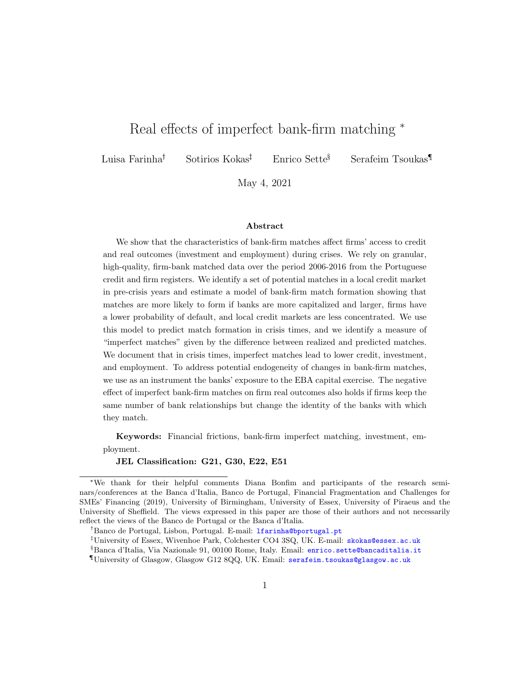## Real effects of imperfect bank-firm matching \*

Luisa Farinha<sup>†</sup> Sotirios Kokas<sup>‡</sup> Enrico Sette<sup>§</sup> Serafeim Tsoukas<sup>1</sup>

May 4, 2021

#### Abstract

We show that the characteristics of bank-firm matches affect firms' access to credit and real outcomes (investment and employment) during crises. We rely on granular, high-quality, firm-bank matched data over the period 2006-2016 from the Portuguese credit and firm registers. We identify a set of potential matches in a local credit market in pre-crisis years and estimate a model of bank-firm match formation showing that matches are more likely to form if banks are more capitalized and larger, firms have a lower probability of default, and local credit markets are less concentrated. We use this model to predict match formation in crisis times, and we identify a measure of "imperfect matches" given by the difference between realized and predicted matches. We document that in crisis times, imperfect matches lead to lower credit, investment, and employment. To address potential endogeneity of changes in bank-firm matches, we use as an instrument the banks' exposure to the EBA capital exercise. The negative effect of imperfect bank-firm matches on firm real outcomes also holds if firms keep the same number of bank relationships but change the identity of the banks with which they match.

Keywords: Financial frictions, bank-firm imperfect matching, investment, employment.

JEL Classification: G21, G30, E22, E51

<sup>\*</sup>We thank for their helpful comments Diana Bonfim and participants of the research seminars/conferences at the Banca d'Italia, Banco de Portugal, Financial Fragmentation and Challenges for SMEs' Financing (2019), University of Birmingham, University of Essex, University of Piraeus and the University of Sheffield. The views expressed in this paper are those of their authors and not necessarily reflect the views of the Banco de Portugal or the Banca d'Italia.

<sup>&</sup>lt;sup>†</sup>Banco de Portugal, Lisbon, Portugal. E-mail: **1farinha@bportugal.pt** 

 $^{\ddagger}$ University of Essex, Wivenhoe Park, Colchester CO4 3SQ, UK. E-mail: <skokas@essex.ac.uk> §Banca d'Italia, Via Nazionale 91, 00100 Rome, Italy. Email: <enrico.sette@bancaditalia.it> ¶University of Glasgow, Glasgow G12 8QQ, UK. Email: <serafeim.tsoukas@glasgow.ac.uk>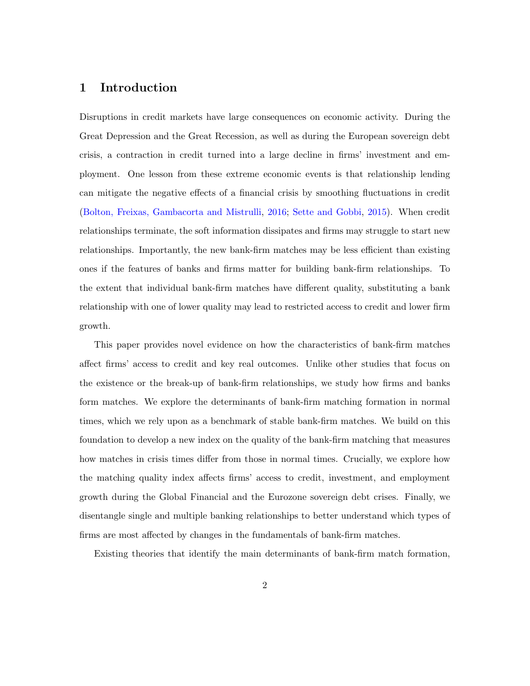## 1 Introduction

Disruptions in credit markets have large consequences on economic activity. During the Great Depression and the Great Recession, as well as during the European sovereign debt crisis, a contraction in credit turned into a large decline in firms' investment and employment. One lesson from these extreme economic events is that relationship lending can mitigate the negative effects of a financial crisis by smoothing fluctuations in credit [\(Bolton, Freixas, Gambacorta and Mistrulli,](#page-31-0) [2016;](#page-31-0) [Sette and Gobbi,](#page-35-0) [2015\)](#page-35-0). When credit relationships terminate, the soft information dissipates and firms may struggle to start new relationships. Importantly, the new bank-firm matches may be less efficient than existing ones if the features of banks and firms matter for building bank-firm relationships. To the extent that individual bank-firm matches have different quality, substituting a bank relationship with one of lower quality may lead to restricted access to credit and lower firm growth.

This paper provides novel evidence on how the characteristics of bank-firm matches affect firms' access to credit and key real outcomes. Unlike other studies that focus on the existence or the break-up of bank-firm relationships, we study how firms and banks form matches. We explore the determinants of bank-firm matching formation in normal times, which we rely upon as a benchmark of stable bank-firm matches. We build on this foundation to develop a new index on the quality of the bank-firm matching that measures how matches in crisis times differ from those in normal times. Crucially, we explore how the matching quality index affects firms' access to credit, investment, and employment growth during the Global Financial and the Eurozone sovereign debt crises. Finally, we disentangle single and multiple banking relationships to better understand which types of firms are most affected by changes in the fundamentals of bank-firm matches.

Existing theories that identify the main determinants of bank-firm match formation,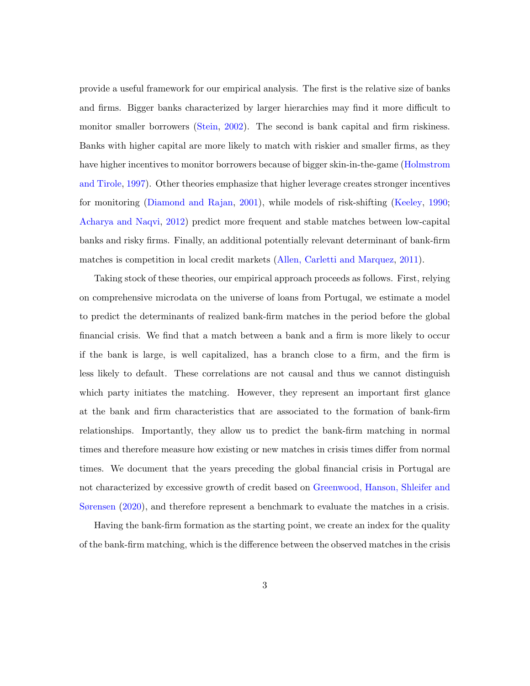provide a useful framework for our empirical analysis. The first is the relative size of banks and firms. Bigger banks characterized by larger hierarchies may find it more difficult to monitor smaller borrowers [\(Stein,](#page-35-1) [2002\)](#page-35-1). The second is bank capital and firm riskiness. Banks with higher capital are more likely to match with riskier and smaller firms, as they have higher incentives to monitor borrowers because of bigger skin-in-the-game [\(Holmstrom](#page-33-0) [and Tirole,](#page-33-0) [1997\)](#page-33-0). Other theories emphasize that higher leverage creates stronger incentives for monitoring [\(Diamond and Rajan,](#page-32-0) [2001\)](#page-32-0), while models of risk-shifting [\(Keeley,](#page-34-0) [1990;](#page-34-0) [Acharya and Naqvi,](#page-30-0) [2012\)](#page-30-0) predict more frequent and stable matches between low-capital banks and risky firms. Finally, an additional potentially relevant determinant of bank-firm matches is competition in local credit markets [\(Allen, Carletti and Marquez,](#page-30-1) [2011\)](#page-30-1).

Taking stock of these theories, our empirical approach proceeds as follows. First, relying on comprehensive microdata on the universe of loans from Portugal, we estimate a model to predict the determinants of realized bank-firm matches in the period before the global financial crisis. We find that a match between a bank and a firm is more likely to occur if the bank is large, is well capitalized, has a branch close to a firm, and the firm is less likely to default. These correlations are not causal and thus we cannot distinguish which party initiates the matching. However, they represent an important first glance at the bank and firm characteristics that are associated to the formation of bank-firm relationships. Importantly, they allow us to predict the bank-firm matching in normal times and therefore measure how existing or new matches in crisis times differ from normal times. We document that the years preceding the global financial crisis in Portugal are not characterized by excessive growth of credit based on [Greenwood, Hanson, Shleifer and](#page-33-1) [Sørensen](#page-33-1) [\(2020\)](#page-33-1), and therefore represent a benchmark to evaluate the matches in a crisis.

Having the bank-firm formation as the starting point, we create an index for the quality of the bank-firm matching, which is the difference between the observed matches in the crisis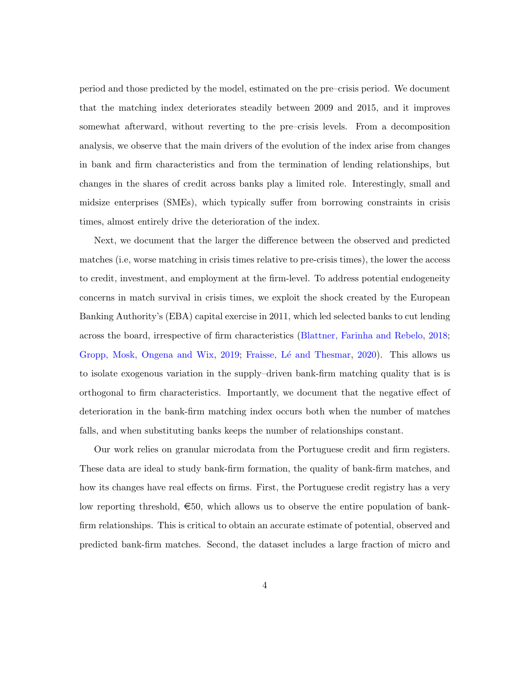period and those predicted by the model, estimated on the pre–crisis period. We document that the matching index deteriorates steadily between 2009 and 2015, and it improves somewhat afterward, without reverting to the pre–crisis levels. From a decomposition analysis, we observe that the main drivers of the evolution of the index arise from changes in bank and firm characteristics and from the termination of lending relationships, but changes in the shares of credit across banks play a limited role. Interestingly, small and midsize enterprises (SMEs), which typically suffer from borrowing constraints in crisis times, almost entirely drive the deterioration of the index.

Next, we document that the larger the difference between the observed and predicted matches (i.e, worse matching in crisis times relative to pre-crisis times), the lower the access to credit, investment, and employment at the firm-level. To address potential endogeneity concerns in match survival in crisis times, we exploit the shock created by the European Banking Authority's (EBA) capital exercise in 2011, which led selected banks to cut lending across the board, irrespective of firm characteristics [\(Blattner, Farinha and Rebelo,](#page-31-1) [2018;](#page-31-1) [Gropp, Mosk, Ongena and Wix,](#page-33-2) [2019;](#page-33-2) Fraisse, Lé and Thesmar, [2020\)](#page-33-3). This allows us to isolate exogenous variation in the supply–driven bank-firm matching quality that is is orthogonal to firm characteristics. Importantly, we document that the negative effect of deterioration in the bank-firm matching index occurs both when the number of matches falls, and when substituting banks keeps the number of relationships constant.

Our work relies on granular microdata from the Portuguese credit and firm registers. These data are ideal to study bank-firm formation, the quality of bank-firm matches, and how its changes have real effects on firms. First, the Portuguese credit registry has a very low reporting threshold,  $\epsilon$ 50, which allows us to observe the entire population of bankfirm relationships. This is critical to obtain an accurate estimate of potential, observed and predicted bank-firm matches. Second, the dataset includes a large fraction of micro and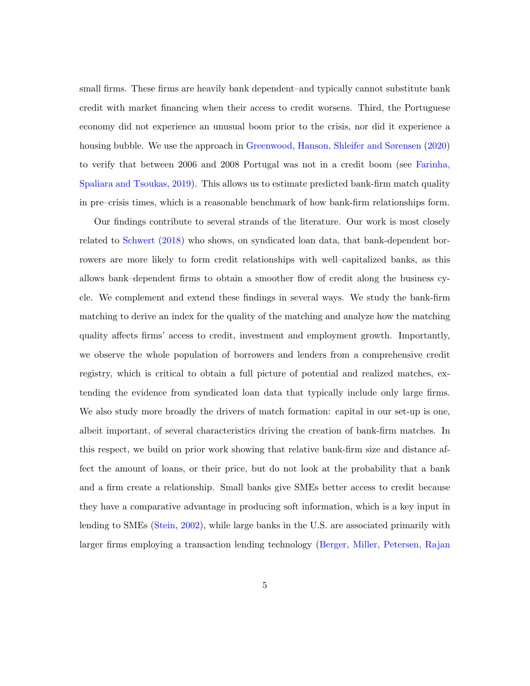small firms. These firms are heavily bank dependent–and typically cannot substitute bank credit with market financing when their access to credit worsens. Third, the Portuguese economy did not experience an unusual boom prior to the crisis, nor did it experience a housing bubble. We use the approach in [Greenwood, Hanson, Shleifer and Sørensen](#page-33-1) [\(2020\)](#page-33-1) to verify that between 2006 and 2008 Portugal was not in a credit boom (see [Farinha,](#page-33-4) [Spaliara and Tsoukas,](#page-33-4) [2019\)](#page-33-4). This allows us to estimate predicted bank-firm match quality in pre–crisis times, which is a reasonable benchmark of how bank-firm relationships form.

Our findings contribute to several strands of the literature. Our work is most closely related to [Schwert](#page-34-1) [\(2018\)](#page-34-1) who shows, on syndicated loan data, that bank-dependent borrowers are more likely to form credit relationships with well–capitalized banks, as this allows bank–dependent firms to obtain a smoother flow of credit along the business cycle. We complement and extend these findings in several ways. We study the bank-firm matching to derive an index for the quality of the matching and analyze how the matching quality affects firms' access to credit, investment and employment growth. Importantly, we observe the whole population of borrowers and lenders from a comprehensive credit registry, which is critical to obtain a full picture of potential and realized matches, extending the evidence from syndicated loan data that typically include only large firms. We also study more broadly the drivers of match formation: capital in our set-up is one, albeit important, of several characteristics driving the creation of bank-firm matches. In this respect, we build on prior work showing that relative bank-firm size and distance affect the amount of loans, or their price, but do not look at the probability that a bank and a firm create a relationship. Small banks give SMEs better access to credit because they have a comparative advantage in producing soft information, which is a key input in lending to SMEs [\(Stein,](#page-35-1) [2002\)](#page-35-1), while large banks in the U.S. are associated primarily with larger firms employing a transaction lending technology [\(Berger, Miller, Petersen, Rajan](#page-30-2)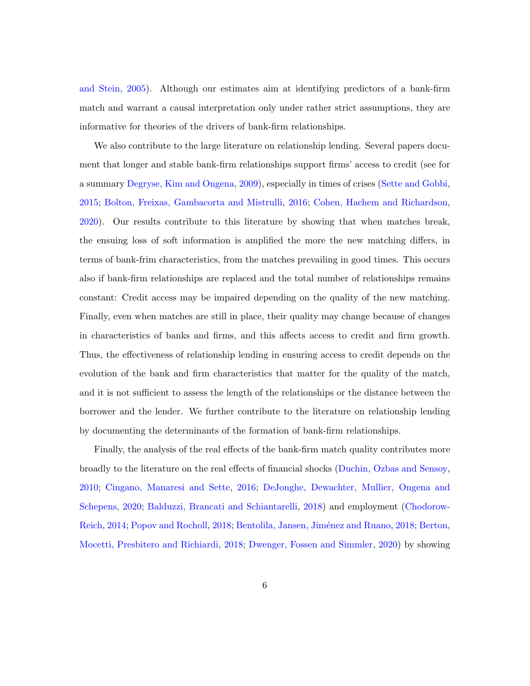[and Stein,](#page-30-2) [2005\)](#page-30-2). Although our estimates aim at identifying predictors of a bank-firm match and warrant a causal interpretation only under rather strict assumptions, they are informative for theories of the drivers of bank-firm relationships.

We also contribute to the large literature on relationship lending. Several papers document that longer and stable bank-firm relationships support firms' access to credit (see for a summary [Degryse, Kim and Ongena,](#page-32-1) [2009\)](#page-32-1), especially in times of crises [\(Sette and Gobbi,](#page-35-0) [2015;](#page-35-0) [Bolton, Freixas, Gambacorta and Mistrulli,](#page-31-0) [2016;](#page-31-0) [Cohen, Hachem and Richardson,](#page-32-2) [2020\)](#page-32-2). Our results contribute to this literature by showing that when matches break, the ensuing loss of soft information is amplified the more the new matching differs, in terms of bank-frim characteristics, from the matches prevailing in good times. This occurs also if bank-firm relationships are replaced and the total number of relationships remains constant: Credit access may be impaired depending on the quality of the new matching. Finally, even when matches are still in place, their quality may change because of changes in characteristics of banks and firms, and this affects access to credit and firm growth. Thus, the effectiveness of relationship lending in ensuring access to credit depends on the evolution of the bank and firm characteristics that matter for the quality of the match, and it is not sufficient to assess the length of the relationships or the distance between the borrower and the lender. We further contribute to the literature on relationship lending by documenting the determinants of the formation of bank-firm relationships.

Finally, the analysis of the real effects of the bank-firm match quality contributes more broadly to the literature on the real effects of financial shocks [\(Duchin, Ozbas and Sensoy,](#page-32-3) [2010;](#page-32-3) [Cingano, Manaresi and Sette,](#page-31-2) [2016;](#page-31-2) [DeJonghe, Dewachter, Mullier, Ongena and](#page-32-4) [Schepens,](#page-32-4) [2020;](#page-32-4) [Balduzzi, Brancati and Schiantarelli,](#page-30-3) [2018\)](#page-30-3) and employment [\(Chodorow-](#page-31-3)[Reich,](#page-31-3) [2014;](#page-31-3) [Popov and Rocholl,](#page-34-2) [2018;](#page-30-4) Bentolila, Jansen, Jiménez and Ruano, 2018; [Berton,](#page-31-4) [Mocetti, Presbitero and Richiardi,](#page-31-4) [2018;](#page-31-4) [Dwenger, Fossen and Simmler,](#page-33-5) [2020\)](#page-33-5) by showing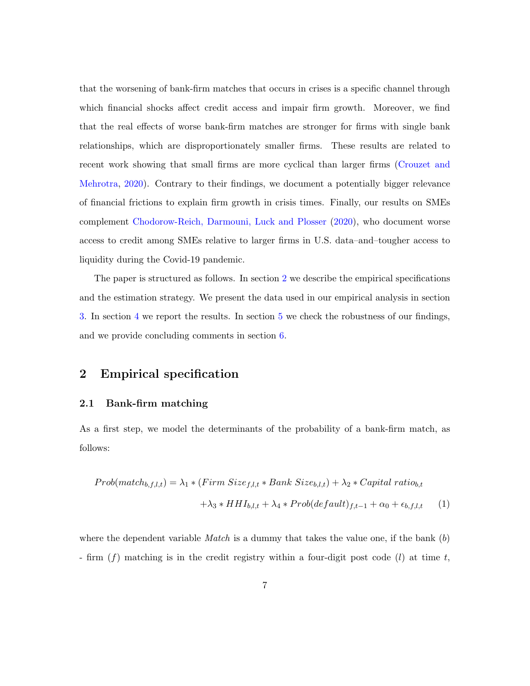that the worsening of bank-firm matches that occurs in crises is a specific channel through which financial shocks affect credit access and impair firm growth. Moreover, we find that the real effects of worse bank-firm matches are stronger for firms with single bank relationships, which are disproportionately smaller firms. These results are related to recent work showing that small firms are more cyclical than larger firms [\(Crouzet and](#page-32-5) [Mehrotra,](#page-32-5) [2020\)](#page-32-5). Contrary to their findings, we document a potentially bigger relevance of financial frictions to explain firm growth in crisis times. Finally, our results on SMEs complement [Chodorow-Reich, Darmouni, Luck and Plosser](#page-31-5) [\(2020\)](#page-31-5), who document worse access to credit among SMEs relative to larger firms in U.S. data–and–tougher access to liquidity during the Covid-19 pandemic.

The paper is structured as follows. In section [2](#page-6-0) we describe the empirical specifications and the estimation strategy. We present the data used in our empirical analysis in section [3.](#page-14-0) In section [4](#page-16-0) we report the results. In section [5](#page-26-0) we check the robustness of our findings, and we provide concluding comments in section [6.](#page-27-0)

## <span id="page-6-0"></span>2 Empirical specification

#### 2.1 Bank-firm matching

As a first step, we model the determinants of the probability of a bank-firm match, as follows:

<span id="page-6-1"></span>
$$
Prob(match_{b,f,l,t}) = \lambda_1 * (Firm Size_{f,l,t} * Bank Size_{b,l,t}) + \lambda_2 * Capital ratio_{b,t}
$$

$$
+ \lambda_3 * HHI_{b,l,t} + \lambda_4 * Prob(default)_{f,t-1} + \alpha_0 + \epsilon_{b,f,l,t} \tag{1}
$$

where the dependent variable *Match* is a dummy that takes the value one, if the bank  $(b)$ - firm  $(f)$  matching is in the credit registry within a four-digit post code  $(l)$  at time t,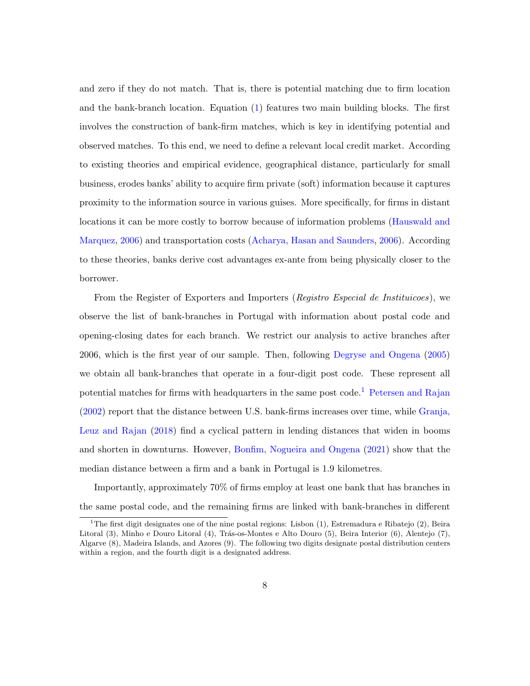and zero if they do not match. That is, there is potential matching due to firm location and the bank-branch location. Equation [\(1\)](#page-6-1) features two main building blocks. The first involves the construction of bank-firm matches, which is key in identifying potential and observed matches. To this end, we need to define a relevant local credit market. According to existing theories and empirical evidence, geographical distance, particularly for small business, erodes banks' ability to acquire firm private (soft) information because it captures proximity to the information source in various guises. More specifically, for firms in distant locations it can be more costly to borrow because of information problems [\(Hauswald and](#page-33-6) [Marquez,](#page-33-6) [2006\)](#page-33-6) and transportation costs [\(Acharya, Hasan and Saunders,](#page-30-5) [2006\)](#page-30-5). According to these theories, banks derive cost advantages ex-ante from being physically closer to the borrower.

From the Register of Exporters and Importers (Registro Especial de Instituicoes), we observe the list of bank-branches in Portugal with information about postal code and opening-closing dates for each branch. We restrict our analysis to active branches after 2006, which is the first year of our sample. Then, following [Degryse and Ongena](#page-32-6) [\(2005\)](#page-32-6) we obtain all bank-branches that operate in a four-digit post code. These represent all potential matches for firms with headquarters in the same post code.<sup>[1](#page-7-0)</sup> [Petersen and Rajan](#page-34-3) [\(2002\)](#page-34-3) report that the distance between U.S. bank-firms increases over time, while [Granja,](#page-33-7) [Leuz and Rajan](#page-33-7) [\(2018\)](#page-33-7) find a cyclical pattern in lending distances that widen in booms and shorten in downturns. However, [Bonfim, Nogueira and Ongena](#page-31-6) [\(2021\)](#page-31-6) show that the median distance between a firm and a bank in Portugal is 1.9 kilometres.

Importantly, approximately 70% of firms employ at least one bank that has branches in the same postal code, and the remaining firms are linked with bank-branches in different

<span id="page-7-0"></span><sup>&</sup>lt;sup>1</sup>The first digit designates one of the nine postal regions: Lisbon  $(1)$ , Estremadura e Ribatejo  $(2)$ , Beira Litoral (3), Minho e Douro Litoral (4), Trás-os-Montes e Alto Douro (5), Beira Interior (6), Alentejo (7), Algarve (8), Madeira Islands, and Azores (9). The following two digits designate postal distribution centers within a region, and the fourth digit is a designated address.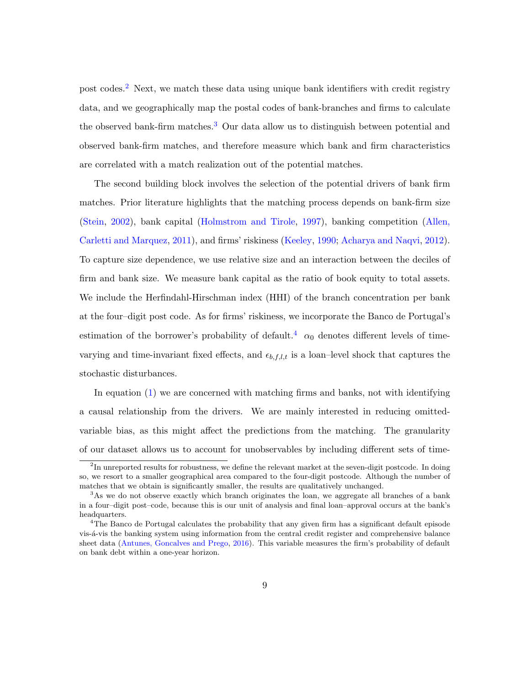post codes.<sup>[2](#page-8-0)</sup> Next, we match these data using unique bank identifiers with credit registry data, and we geographically map the postal codes of bank-branches and firms to calculate the observed bank-firm matches.<sup>[3](#page-8-1)</sup> Our data allow us to distinguish between potential and observed bank-firm matches, and therefore measure which bank and firm characteristics are correlated with a match realization out of the potential matches.

The second building block involves the selection of the potential drivers of bank firm matches. Prior literature highlights that the matching process depends on bank-firm size [\(Stein,](#page-35-1) [2002\)](#page-35-1), bank capital [\(Holmstrom and Tirole,](#page-33-0) [1997\)](#page-33-0), banking competition [\(Allen,](#page-30-1) [Carletti and Marquez,](#page-30-1) [2011\)](#page-30-1), and firms' riskiness [\(Keeley,](#page-34-0) [1990;](#page-34-0) [Acharya and Naqvi,](#page-30-0) [2012\)](#page-30-0). To capture size dependence, we use relative size and an interaction between the deciles of firm and bank size. We measure bank capital as the ratio of book equity to total assets. We include the Herfindahl-Hirschman index (HHI) of the branch concentration per bank at the four–digit post code. As for firms' riskiness, we incorporate the Banco de Portugal's estimation of the borrower's probability of default.<sup>[4](#page-8-2)</sup>  $\alpha_0$  denotes different levels of timevarying and time-invariant fixed effects, and  $\epsilon_{b,f,l,t}$  is a loan–level shock that captures the stochastic disturbances.

In equation [\(1\)](#page-6-1) we are concerned with matching firms and banks, not with identifying a causal relationship from the drivers. We are mainly interested in reducing omittedvariable bias, as this might affect the predictions from the matching. The granularity of our dataset allows us to account for unobservables by including different sets of time-

<span id="page-8-0"></span><sup>&</sup>lt;sup>2</sup>In unreported results for robustness, we define the relevant market at the seven-digit postcode. In doing so, we resort to a smaller geographical area compared to the four-digit postcode. Although the number of matches that we obtain is significantly smaller, the results are qualitatively unchanged.

<span id="page-8-1"></span><sup>&</sup>lt;sup>3</sup>As we do not observe exactly which branch originates the loan, we aggregate all branches of a bank in a four–digit post–code, because this is our unit of analysis and final loan–approval occurs at the bank's headquarters.

<span id="page-8-2"></span><sup>4</sup>The Banco de Portugal calculates the probability that any given firm has a significant default episode vis-á-vis the banking system using information from the central credit register and comprehensive balance sheet data [\(Antunes, Goncalves and Prego,](#page-30-6) [2016\)](#page-30-6). This variable measures the firm's probability of default on bank debt within a one-year horizon.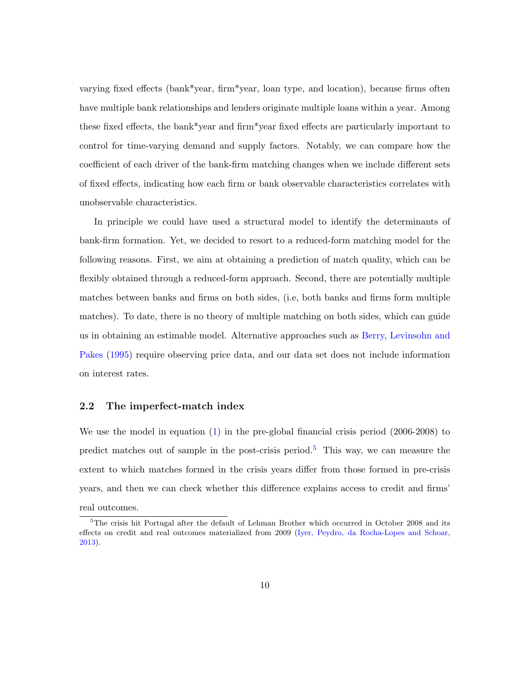varying fixed effects (bank\*year, firm\*year, loan type, and location), because firms often have multiple bank relationships and lenders originate multiple loans within a year. Among these fixed effects, the bank\*year and firm\*year fixed effects are particularly important to control for time-varying demand and supply factors. Notably, we can compare how the coefficient of each driver of the bank-firm matching changes when we include different sets of fixed effects, indicating how each firm or bank observable characteristics correlates with unobservable characteristics.

In principle we could have used a structural model to identify the determinants of bank-firm formation. Yet, we decided to resort to a reduced-form matching model for the following reasons. First, we aim at obtaining a prediction of match quality, which can be flexibly obtained through a reduced-form approach. Second, there are potentially multiple matches between banks and firms on both sides, (i.e, both banks and firms form multiple matches). To date, there is no theory of multiple matching on both sides, which can guide us in obtaining an estimable model. Alternative approaches such as [Berry, Levinsohn and](#page-31-7) [Pakes](#page-31-7) [\(1995\)](#page-31-7) require observing price data, and our data set does not include information on interest rates.

#### <span id="page-9-1"></span>2.2 The imperfect-match index

We use the model in equation [\(1\)](#page-6-1) in the pre-global financial crisis period (2006-2008) to predict matches out of sample in the post-crisis period.<sup>[5](#page-9-0)</sup> This way, we can measure the extent to which matches formed in the crisis years differ from those formed in pre-crisis years, and then we can check whether this difference explains access to credit and firms' real outcomes.

<span id="page-9-0"></span><sup>&</sup>lt;sup>5</sup>The crisis hit Portugal after the default of Lehman Brother which occurred in October 2008 and its effects on credit and real outcomes materialized from 2009 [\(Iyer, Peydro, da Rocha-Lopes and Schoar,](#page-34-4) [2013\)](#page-34-4).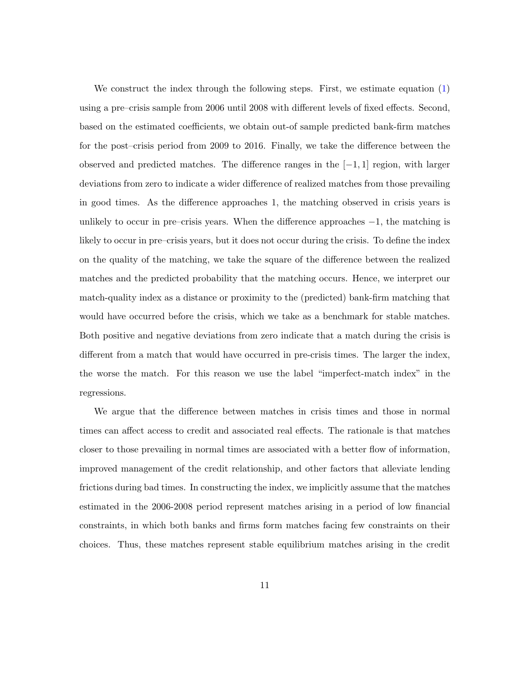We construct the index through the following steps. First, we estimate equation [\(1\)](#page-6-1) using a pre–crisis sample from 2006 until 2008 with different levels of fixed effects. Second, based on the estimated coefficients, we obtain out-of sample predicted bank-firm matches for the post–crisis period from 2009 to 2016. Finally, we take the difference between the observed and predicted matches. The difference ranges in the  $[-1, 1]$  region, with larger deviations from zero to indicate a wider difference of realized matches from those prevailing in good times. As the difference approaches 1, the matching observed in crisis years is unlikely to occur in pre–crisis years. When the difference approaches  $-1$ , the matching is likely to occur in pre–crisis years, but it does not occur during the crisis. To define the index on the quality of the matching, we take the square of the difference between the realized matches and the predicted probability that the matching occurs. Hence, we interpret our match-quality index as a distance or proximity to the (predicted) bank-firm matching that would have occurred before the crisis, which we take as a benchmark for stable matches. Both positive and negative deviations from zero indicate that a match during the crisis is different from a match that would have occurred in pre-crisis times. The larger the index, the worse the match. For this reason we use the label "imperfect-match index" in the regressions.

We argue that the difference between matches in crisis times and those in normal times can affect access to credit and associated real effects. The rationale is that matches closer to those prevailing in normal times are associated with a better flow of information, improved management of the credit relationship, and other factors that alleviate lending frictions during bad times. In constructing the index, we implicitly assume that the matches estimated in the 2006-2008 period represent matches arising in a period of low financial constraints, in which both banks and firms form matches facing few constraints on their choices. Thus, these matches represent stable equilibrium matches arising in the credit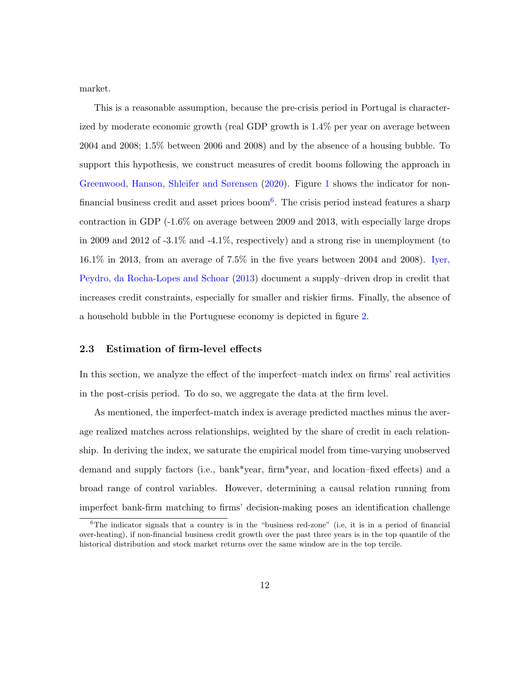market.

This is a reasonable assumption, because the pre-crisis period in Portugal is characterized by moderate economic growth (real GDP growth is 1.4% per year on average between 2004 and 2008; 1.5% between 2006 and 2008) and by the absence of a housing bubble. To support this hypothesis, we construct measures of credit booms following the approach in [Greenwood, Hanson, Shleifer and Sørensen](#page-33-1) [\(2020\)](#page-33-1). Figure [1](#page-36-0) shows the indicator for non-financial business credit and asset prices boom<sup>[6](#page-11-0)</sup>. The crisis period instead features a sharp contraction in GDP (-1.6% on average between 2009 and 2013, with especially large drops in 2009 and 2012 of -3.1% and -4.1%, respectively) and a strong rise in unemployment (to 16.1% in 2013, from an average of 7.5% in the five years between 2004 and 2008). [Iyer,](#page-34-4) [Peydro, da Rocha-Lopes and Schoar](#page-34-4) [\(2013\)](#page-34-4) document a supply–driven drop in credit that increases credit constraints, especially for smaller and riskier firms. Finally, the absence of a household bubble in the Portuguese economy is depicted in figure [2.](#page-36-0)

#### <span id="page-11-1"></span>2.3 Estimation of firm-level effects

In this section, we analyze the effect of the imperfect–match index on firms' real activities in the post-crisis period. To do so, we aggregate the data at the firm level.

As mentioned, the imperfect-match index is average predicted macthes minus the average realized matches across relationships, weighted by the share of credit in each relationship. In deriving the index, we saturate the empirical model from time-varying unobserved demand and supply factors (i.e., bank\*year, firm\*year, and location–fixed effects) and a broad range of control variables. However, determining a causal relation running from imperfect bank-firm matching to firms' decision-making poses an identification challenge

<span id="page-11-0"></span> ${}^{6}$ The indicator signals that a country is in the "business red-zone" (i.e, it is in a period of financial over-heating), if non-financial business credit growth over the past three years is in the top quantile of the historical distribution and stock market returns over the same window are in the top tercile.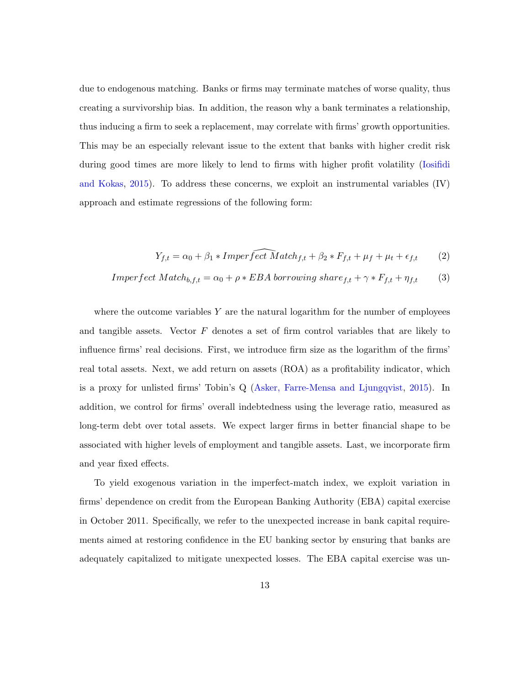due to endogenous matching. Banks or firms may terminate matches of worse quality, thus creating a survivorship bias. In addition, the reason why a bank terminates a relationship, thus inducing a firm to seek a replacement, may correlate with firms' growth opportunities. This may be an especially relevant issue to the extent that banks with higher credit risk during good times are more likely to lend to firms with higher profit volatility [\(Iosifidi](#page-34-5) [and Kokas,](#page-34-5) [2015\)](#page-34-5). To address these concerns, we exploit an instrumental variables (IV) approach and estimate regressions of the following form:

$$
Y_{f,t} = \alpha_0 + \beta_1 * Imper \widehat{fect \ } Match_{f,t} + \beta_2 * F_{f,t} + \mu_f + \mu_t + \epsilon_{f,t} \tag{2}
$$

$$
Imperfect Match_{b,f,t} = \alpha_0 + \rho * EBA \, borrowing \, share_{f,t} + \gamma * F_{f,t} + \eta_{f,t} \tag{3}
$$

where the outcome variables  $Y$  are the natural logarithm for the number of employees and tangible assets. Vector  $F$  denotes a set of firm control variables that are likely to influence firms' real decisions. First, we introduce firm size as the logarithm of the firms' real total assets. Next, we add return on assets (ROA) as a profitability indicator, which is a proxy for unlisted firms' Tobin's Q [\(Asker, Farre-Mensa and Ljungqvist,](#page-30-7) [2015\)](#page-30-7). In addition, we control for firms' overall indebtedness using the leverage ratio, measured as long-term debt over total assets. We expect larger firms in better financial shape to be associated with higher levels of employment and tangible assets. Last, we incorporate firm and year fixed effects.

To yield exogenous variation in the imperfect-match index, we exploit variation in firms' dependence on credit from the European Banking Authority (EBA) capital exercise in October 2011. Specifically, we refer to the unexpected increase in bank capital requirements aimed at restoring confidence in the EU banking sector by ensuring that banks are adequately capitalized to mitigate unexpected losses. The EBA capital exercise was un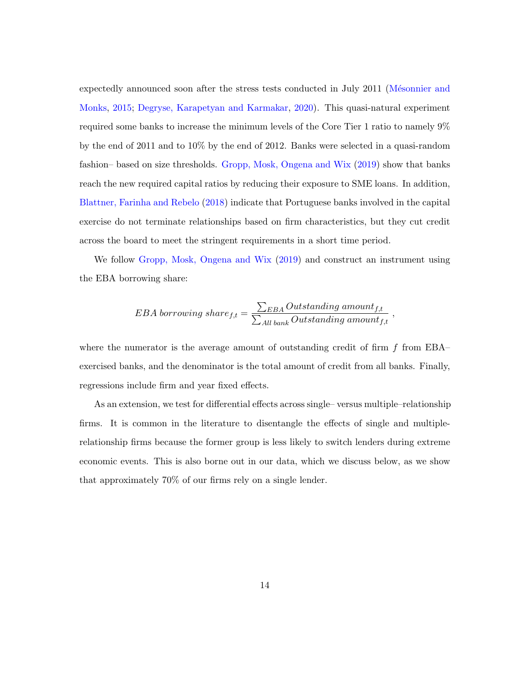expectedly announced soon after the stress tests conducted in July 2011 (Mésonnier and [Monks,](#page-34-6) [2015;](#page-34-6) [Degryse, Karapetyan and Karmakar,](#page-32-7) [2020\)](#page-32-7). This quasi-natural experiment required some banks to increase the minimum levels of the Core Tier 1 ratio to namely 9% by the end of 2011 and to 10% by the end of 2012. Banks were selected in a quasi-random fashion– based on size thresholds. [Gropp, Mosk, Ongena and Wix](#page-33-2) [\(2019\)](#page-33-2) show that banks reach the new required capital ratios by reducing their exposure to SME loans. In addition, [Blattner, Farinha and Rebelo](#page-31-1) [\(2018\)](#page-31-1) indicate that Portuguese banks involved in the capital exercise do not terminate relationships based on firm characteristics, but they cut credit across the board to meet the stringent requirements in a short time period.

We follow [Gropp, Mosk, Ongena and Wix](#page-33-2) [\(2019\)](#page-33-2) and construct an instrument using the EBA borrowing share:

$$
EBA~borrowing~share_{f,t} = \frac{\sum_{EBA}Outstanding~amount_{f,t}}{\sum_{All~bank}Outstanding~amount_{f,t}}~,
$$

where the numerator is the average amount of outstanding credit of firm  $f$  from EBA– exercised banks, and the denominator is the total amount of credit from all banks. Finally, regressions include firm and year fixed effects.

As an extension, we test for differential effects across single– versus multiple–relationship firms. It is common in the literature to disentangle the effects of single and multiplerelationship firms because the former group is less likely to switch lenders during extreme economic events. This is also borne out in our data, which we discuss below, as we show that approximately 70% of our firms rely on a single lender.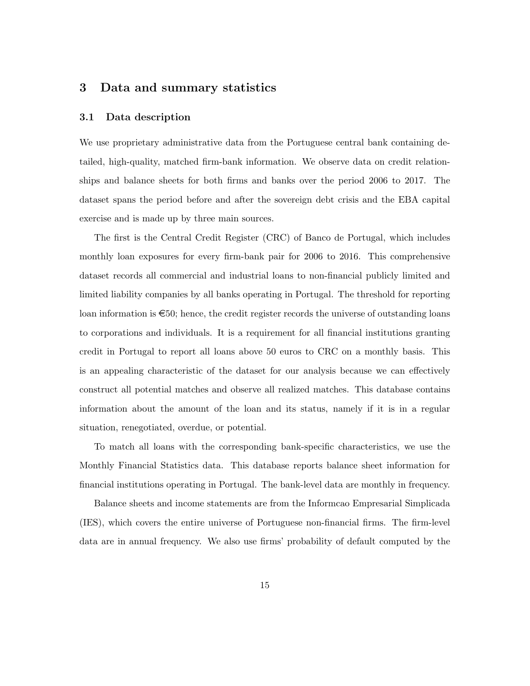## <span id="page-14-0"></span>3 Data and summary statistics

#### 3.1 Data description

We use proprietary administrative data from the Portuguese central bank containing detailed, high-quality, matched firm-bank information. We observe data on credit relationships and balance sheets for both firms and banks over the period 2006 to 2017. The dataset spans the period before and after the sovereign debt crisis and the EBA capital exercise and is made up by three main sources.

The first is the Central Credit Register (CRC) of Banco de Portugal, which includes monthly loan exposures for every firm-bank pair for 2006 to 2016. This comprehensive dataset records all commercial and industrial loans to non-financial publicly limited and limited liability companies by all banks operating in Portugal. The threshold for reporting loan information is  $\epsilon$ 50; hence, the credit register records the universe of outstanding loans to corporations and individuals. It is a requirement for all financial institutions granting credit in Portugal to report all loans above 50 euros to CRC on a monthly basis. This is an appealing characteristic of the dataset for our analysis because we can effectively construct all potential matches and observe all realized matches. This database contains information about the amount of the loan and its status, namely if it is in a regular situation, renegotiated, overdue, or potential.

To match all loans with the corresponding bank-specific characteristics, we use the Monthly Financial Statistics data. This database reports balance sheet information for financial institutions operating in Portugal. The bank-level data are monthly in frequency.

Balance sheets and income statements are from the Informcao Empresarial Simplicada (IES), which covers the entire universe of Portuguese non-financial firms. The firm-level data are in annual frequency. We also use firms' probability of default computed by the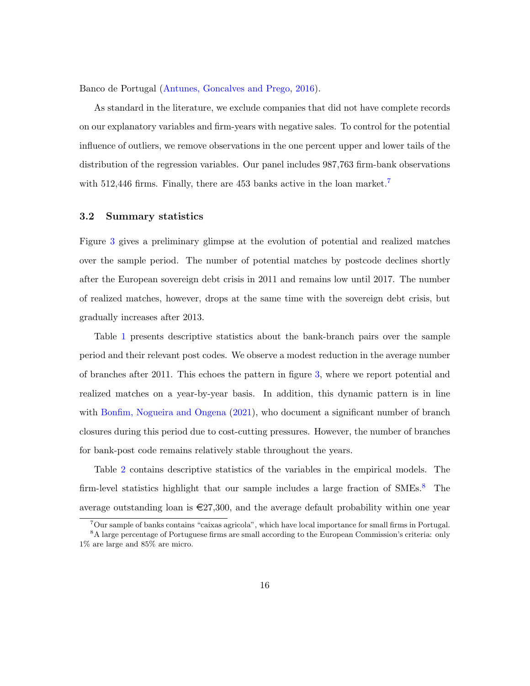Banco de Portugal [\(Antunes, Goncalves and Prego,](#page-30-6) [2016\)](#page-30-6).

As standard in the literature, we exclude companies that did not have complete records on our explanatory variables and firm-years with negative sales. To control for the potential influence of outliers, we remove observations in the one percent upper and lower tails of the distribution of the regression variables. Our panel includes 987,763 firm-bank observations with 512,446 firms. Finally, there are 453 banks active in the loan market.<sup>[7](#page-15-0)</sup>

#### 3.2 Summary statistics

Figure [3](#page-37-0) gives a preliminary glimpse at the evolution of potential and realized matches over the sample period. The number of potential matches by postcode declines shortly after the European sovereign debt crisis in 2011 and remains low until 2017. The number of realized matches, however, drops at the same time with the sovereign debt crisis, but gradually increases after 2013.

Table [1](#page-39-0) presents descriptive statistics about the bank-branch pairs over the sample period and their relevant post codes. We observe a modest reduction in the average number of branches after 2011. This echoes the pattern in figure [3,](#page-37-0) where we report potential and realized matches on a year-by-year basis. In addition, this dynamic pattern is in line with [Bonfim, Nogueira and Ongena](#page-31-6) [\(2021\)](#page-31-6), who document a significant number of branch closures during this period due to cost-cutting pressures. However, the number of branches for bank-post code remains relatively stable throughout the years.

Table [2](#page-40-0) contains descriptive statistics of the variables in the empirical models. The firm-level statistics highlight that our sample includes a large fraction of  $\text{SMEs}$ <sup>[8](#page-15-1)</sup>. The average outstanding loan is  $\epsilon$ 27,300, and the average default probability within one year

<span id="page-15-1"></span><span id="page-15-0"></span><sup>7</sup>Our sample of banks contains "caixas agricola", which have local importance for small firms in Portugal.

<sup>&</sup>lt;sup>8</sup>A large percentage of Portuguese firms are small according to the European Commission's criteria: only 1% are large and 85% are micro.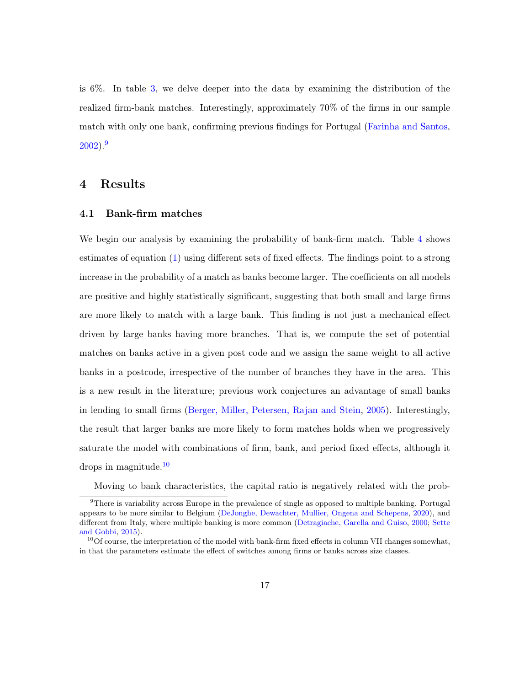is 6%. In table [3,](#page-41-0) we delve deeper into the data by examining the distribution of the realized firm-bank matches. Interestingly, approximately 70% of the firms in our sample match with only one bank, confirming previous findings for Portugal [\(Farinha and Santos,](#page-33-8)  $2002$ ).<sup>[9](#page-16-1)</sup>

## <span id="page-16-0"></span>4 Results

#### 4.1 Bank-firm matches

We begin our analysis by examining the probability of bank-firm match. Table [4](#page-42-0) shows estimates of equation [\(1\)](#page-6-1) using different sets of fixed effects. The findings point to a strong increase in the probability of a match as banks become larger. The coefficients on all models are positive and highly statistically significant, suggesting that both small and large firms are more likely to match with a large bank. This finding is not just a mechanical effect driven by large banks having more branches. That is, we compute the set of potential matches on banks active in a given post code and we assign the same weight to all active banks in a postcode, irrespective of the number of branches they have in the area. This is a new result in the literature; previous work conjectures an advantage of small banks in lending to small firms [\(Berger, Miller, Petersen, Rajan and Stein,](#page-30-2) [2005\)](#page-30-2). Interestingly, the result that larger banks are more likely to form matches holds when we progressively saturate the model with combinations of firm, bank, and period fixed effects, although it drops in magnitude.[10](#page-16-2)

<span id="page-16-1"></span>Moving to bank characteristics, the capital ratio is negatively related with the prob-

 $9$ There is variability across Europe in the prevalence of single as opposed to multiple banking. Portugal appears to be more similar to Belgium [\(DeJonghe, Dewachter, Mullier, Ongena and Schepens,](#page-32-4) [2020\)](#page-32-4), and different from Italy, where multiple banking is more common [\(Detragiache, Garella and Guiso,](#page-32-8) [2000;](#page-32-8) [Sette](#page-35-0) [and Gobbi,](#page-35-0) [2015\)](#page-35-0).

<span id="page-16-2"></span> $10^{\circ}$ Of course, the interpretation of the model with bank-firm fixed effects in column VII changes somewhat, in that the parameters estimate the effect of switches among firms or banks across size classes.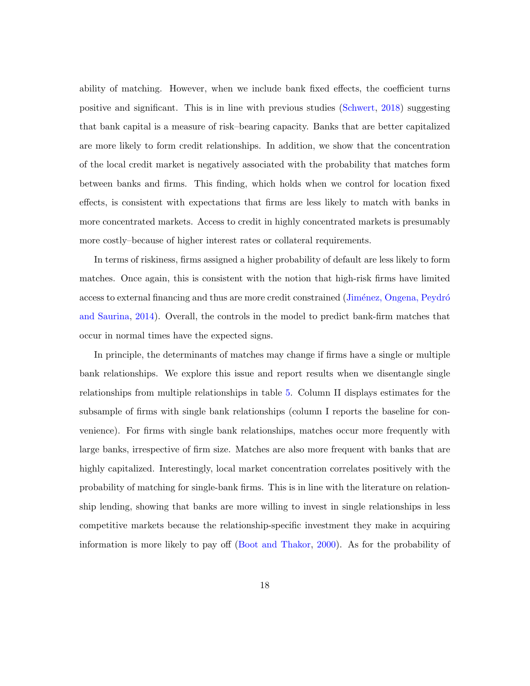ability of matching. However, when we include bank fixed effects, the coefficient turns positive and significant. This is in line with previous studies [\(Schwert,](#page-34-1) [2018\)](#page-34-1) suggesting that bank capital is a measure of risk–bearing capacity. Banks that are better capitalized are more likely to form credit relationships. In addition, we show that the concentration of the local credit market is negatively associated with the probability that matches form between banks and firms. This finding, which holds when we control for location fixed effects, is consistent with expectations that firms are less likely to match with banks in more concentrated markets. Access to credit in highly concentrated markets is presumably more costly–because of higher interest rates or collateral requirements.

In terms of riskiness, firms assigned a higher probability of default are less likely to form matches. Once again, this is consistent with the notion that high-risk firms have limited access to external financing and thus are more credit constrained (Jiménez, Ongena, Peydró [and Saurina,](#page-34-7) [2014\)](#page-34-7). Overall, the controls in the model to predict bank-firm matches that occur in normal times have the expected signs.

In principle, the determinants of matches may change if firms have a single or multiple bank relationships. We explore this issue and report results when we disentangle single relationships from multiple relationships in table [5.](#page-43-0) Column II displays estimates for the subsample of firms with single bank relationships (column I reports the baseline for convenience). For firms with single bank relationships, matches occur more frequently with large banks, irrespective of firm size. Matches are also more frequent with banks that are highly capitalized. Interestingly, local market concentration correlates positively with the probability of matching for single-bank firms. This is in line with the literature on relationship lending, showing that banks are more willing to invest in single relationships in less competitive markets because the relationship-specific investment they make in acquiring information is more likely to pay off [\(Boot and Thakor,](#page-31-8) [2000\)](#page-31-8). As for the probability of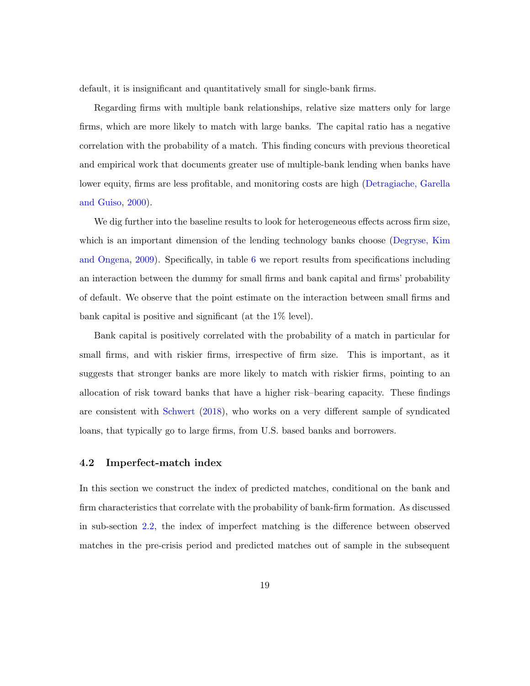default, it is insignificant and quantitatively small for single-bank firms.

Regarding firms with multiple bank relationships, relative size matters only for large firms, which are more likely to match with large banks. The capital ratio has a negative correlation with the probability of a match. This finding concurs with previous theoretical and empirical work that documents greater use of multiple-bank lending when banks have lower equity, firms are less profitable, and monitoring costs are high [\(Detragiache, Garella](#page-32-8) [and Guiso,](#page-32-8) [2000\)](#page-32-8).

We dig further into the baseline results to look for heterogeneous effects across firm size, which is an important dimension of the lending technology banks choose [\(Degryse, Kim](#page-32-1) [and Ongena,](#page-32-1) [2009\)](#page-32-1). Specifically, in table [6](#page-44-0) we report results from specifications including an interaction between the dummy for small firms and bank capital and firms' probability of default. We observe that the point estimate on the interaction between small firms and bank capital is positive and significant (at the 1% level).

Bank capital is positively correlated with the probability of a match in particular for small firms, and with riskier firms, irrespective of firm size. This is important, as it suggests that stronger banks are more likely to match with riskier firms, pointing to an allocation of risk toward banks that have a higher risk–bearing capacity. These findings are consistent with [Schwert](#page-34-1) [\(2018\)](#page-34-1), who works on a very different sample of syndicated loans, that typically go to large firms, from U.S. based banks and borrowers.

#### 4.2 Imperfect-match index

In this section we construct the index of predicted matches, conditional on the bank and firm characteristics that correlate with the probability of bank-firm formation. As discussed in sub-section [2.2,](#page-9-1) the index of imperfect matching is the difference between observed matches in the pre-crisis period and predicted matches out of sample in the subsequent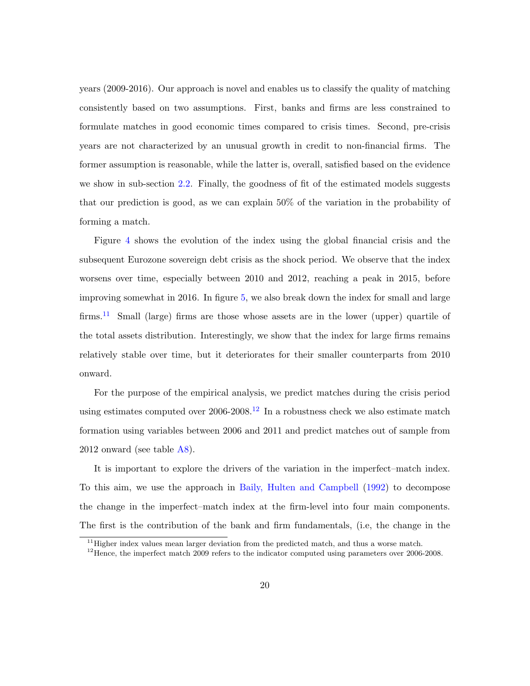years (2009-2016). Our approach is novel and enables us to classify the quality of matching consistently based on two assumptions. First, banks and firms are less constrained to formulate matches in good economic times compared to crisis times. Second, pre-crisis years are not characterized by an unusual growth in credit to non-financial firms. The former assumption is reasonable, while the latter is, overall, satisfied based on the evidence we show in sub-section [2.2.](#page-9-1) Finally, the goodness of fit of the estimated models suggests that our prediction is good, as we can explain 50% of the variation in the probability of forming a match.

Figure [4](#page-38-0) shows the evolution of the index using the global financial crisis and the subsequent Eurozone sovereign debt crisis as the shock period. We observe that the index worsens over time, especially between 2010 and 2012, reaching a peak in 2015, before improving somewhat in 2016. In figure [5,](#page-38-0) we also break down the index for small and large firms.<sup>[11](#page-19-0)</sup> Small (large) firms are those whose assets are in the lower (upper) quartile of the total assets distribution. Interestingly, we show that the index for large firms remains relatively stable over time, but it deteriorates for their smaller counterparts from 2010 onward.

For the purpose of the empirical analysis, we predict matches during the crisis period using estimates computed over  $2006$ - $2008$ <sup>[12](#page-19-1)</sup> In a robustness check we also estimate match formation using variables between 2006 and 2011 and predict matches out of sample from 2012 onward (see table [A8\)](#page-59-0).

It is important to explore the drivers of the variation in the imperfect–match index. To this aim, we use the approach in [Baily, Hulten and Campbell](#page-30-8) [\(1992\)](#page-30-8) to decompose the change in the imperfect–match index at the firm-level into four main components. The first is the contribution of the bank and firm fundamentals, (i.e, the change in the

<span id="page-19-0"></span> $11$  Higher index values mean larger deviation from the predicted match, and thus a worse match.

<span id="page-19-1"></span><sup>&</sup>lt;sup>12</sup>Hence, the imperfect match 2009 refers to the indicator computed using parameters over 2006-2008.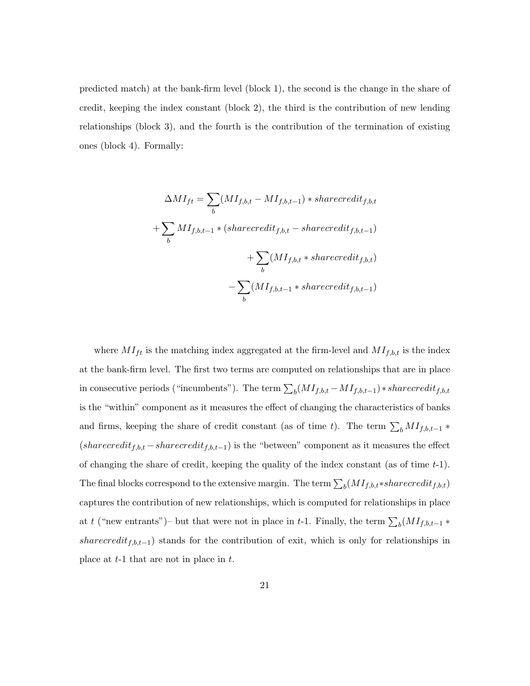predicted match) at the bank-firm level (block 1), the second is the change in the share of credit, keeping the index constant (block 2), the third is the contribution of new lending relationships (block 3), and the fourth is the contribution of the termination of existing ones (block 4). Formally:

$$
\Delta MI_{ft} = \sum_{b} (MI_{f,b,t} - MI_{f,b,t-1}) * shared credit_{f,b,t}
$$

$$
+ \sum_{b} MI_{f,b,t-1} * (sharedit_{f,b,t} - sharedit_{f,b,t-1})
$$

$$
+ \sum_{b} (MI_{f,b,t} * shared credit_{f,b,t})
$$

$$
- \sum_{b} (MI_{f,b,t-1} * shared credit_{f,b,t-1})
$$

where  $MI_{ft}$  is the matching index aggregated at the firm-level and  $MI_{f,b,t}$  is the index at the bank-firm level. The first two terms are computed on relationships that are in place in consecutive periods ("incumbents"). The term  $\sum_{b} (M I_{f,b,t} - M I_{f,b,t-1}) * sharededit_{f,b,t}$ is the "within" component as it measures the effect of changing the characteristics of banks and firms, keeping the share of credit constant (as of time t). The term  $\sum_{b} MI_{f,b,t-1} *$  $(sharecredit_{f,b,t} -sharecredit_{f,b,t-1})$  is the "between" component as it measures the effect of changing the share of credit, keeping the quality of the index constant (as of time  $t-1$ ). The final blocks correspond to the extensive margin. The term  $\sum_{b} (MI_{f,b,t} * sharecredit_{f,b,t})$ captures the contribution of new relationships, which is computed for relationships in place at t ("new entrants")– but that were not in place in t-1. Finally, the term  $\sum_{b} (MI_{f,b,t-1} *$ sharecredit<sub>f,b,t−1</sub>) stands for the contribution of exit, which is only for relationships in place at  $t-1$  that are not in place in  $t$ .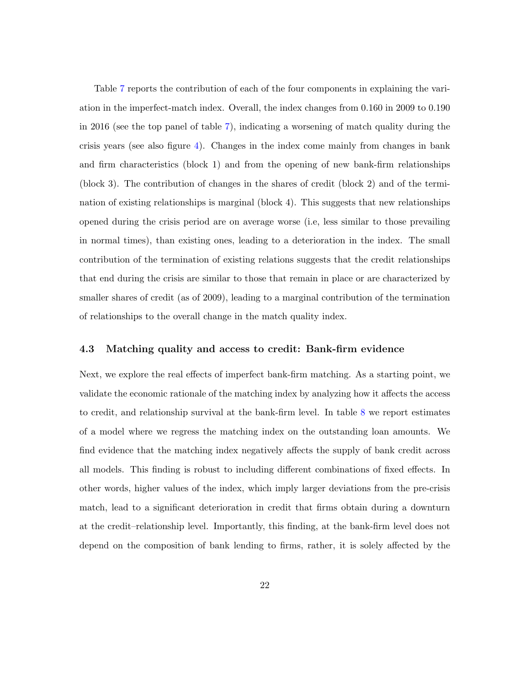Table [7](#page-45-0) reports the contribution of each of the four components in explaining the variation in the imperfect-match index. Overall, the index changes from 0.160 in 2009 to 0.190 in 2016 (see the top panel of table [7\)](#page-45-0), indicating a worsening of match quality during the crisis years (see also figure [4\)](#page-38-0). Changes in the index come mainly from changes in bank and firm characteristics (block 1) and from the opening of new bank-firm relationships (block 3). The contribution of changes in the shares of credit (block 2) and of the termination of existing relationships is marginal (block 4). This suggests that new relationships opened during the crisis period are on average worse (i.e, less similar to those prevailing in normal times), than existing ones, leading to a deterioration in the index. The small contribution of the termination of existing relations suggests that the credit relationships that end during the crisis are similar to those that remain in place or are characterized by smaller shares of credit (as of 2009), leading to a marginal contribution of the termination of relationships to the overall change in the match quality index.

#### 4.3 Matching quality and access to credit: Bank-firm evidence

Next, we explore the real effects of imperfect bank-firm matching. As a starting point, we validate the economic rationale of the matching index by analyzing how it affects the access to credit, and relationship survival at the bank-firm level. In table [8](#page-46-0) we report estimates of a model where we regress the matching index on the outstanding loan amounts. We find evidence that the matching index negatively affects the supply of bank credit across all models. This finding is robust to including different combinations of fixed effects. In other words, higher values of the index, which imply larger deviations from the pre-crisis match, lead to a significant deterioration in credit that firms obtain during a downturn at the credit–relationship level. Importantly, this finding, at the bank-firm level does not depend on the composition of bank lending to firms, rather, it is solely affected by the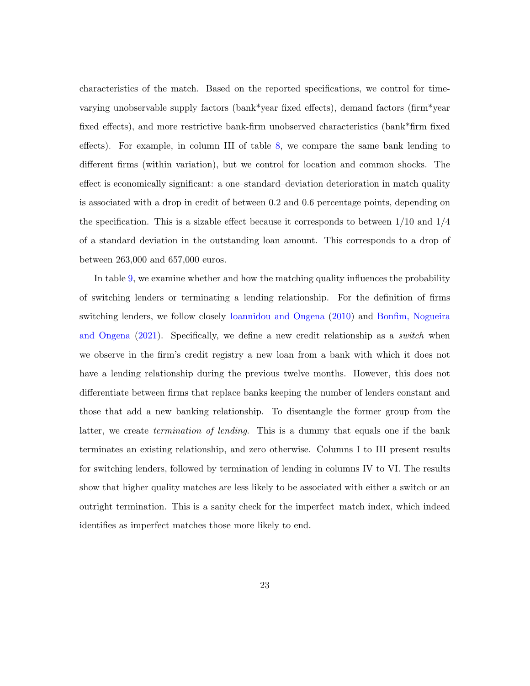characteristics of the match. Based on the reported specifications, we control for timevarying unobservable supply factors (bank\*year fixed effects), demand factors (firm\*year fixed effects), and more restrictive bank-firm unobserved characteristics (bank\*firm fixed effects). For example, in column III of table [8,](#page-46-0) we compare the same bank lending to different firms (within variation), but we control for location and common shocks. The effect is economically significant: a one–standard–deviation deterioration in match quality is associated with a drop in credit of between 0.2 and 0.6 percentage points, depending on the specification. This is a sizable effect because it corresponds to between  $1/10$  and  $1/4$ of a standard deviation in the outstanding loan amount. This corresponds to a drop of between 263,000 and 657,000 euros.

In table [9,](#page-47-0) we examine whether and how the matching quality influences the probability of switching lenders or terminating a lending relationship. For the definition of firms switching lenders, we follow closely [Ioannidou and Ongena](#page-34-8) [\(2010\)](#page-34-8) and [Bonfim, Nogueira](#page-31-6) [and Ongena](#page-31-6) [\(2021\)](#page-31-6). Specifically, we define a new credit relationship as a *switch* when we observe in the firm's credit registry a new loan from a bank with which it does not have a lending relationship during the previous twelve months. However, this does not differentiate between firms that replace banks keeping the number of lenders constant and those that add a new banking relationship. To disentangle the former group from the latter, we create termination of lending. This is a dummy that equals one if the bank terminates an existing relationship, and zero otherwise. Columns I to III present results for switching lenders, followed by termination of lending in columns IV to VI. The results show that higher quality matches are less likely to be associated with either a switch or an outright termination. This is a sanity check for the imperfect–match index, which indeed identifies as imperfect matches those more likely to end.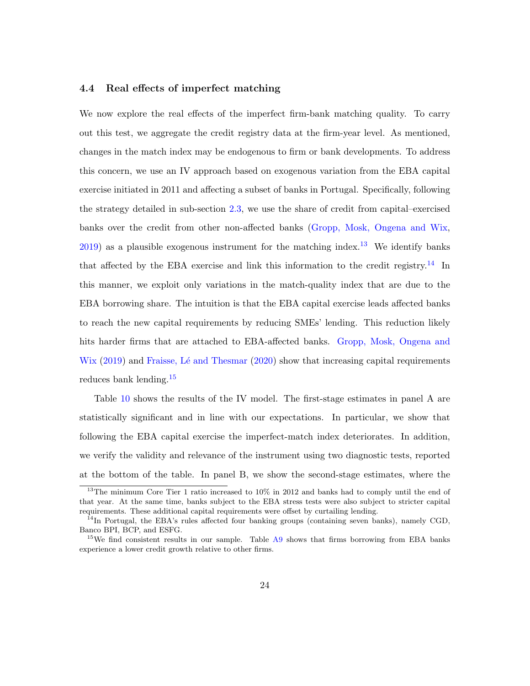#### 4.4 Real effects of imperfect matching

We now explore the real effects of the imperfect firm-bank matching quality. To carry out this test, we aggregate the credit registry data at the firm-year level. As mentioned, changes in the match index may be endogenous to firm or bank developments. To address this concern, we use an IV approach based on exogenous variation from the EBA capital exercise initiated in 2011 and affecting a subset of banks in Portugal. Specifically, following the strategy detailed in sub-section [2.3,](#page-11-1) we use the share of credit from capital–exercised banks over the credit from other non-affected banks [\(Gropp, Mosk, Ongena and Wix,](#page-33-2)  $2019$ ) as a plausible exogenous instrument for the matching index.<sup>[13](#page-23-0)</sup> We identify banks that affected by the EBA exercise and link this information to the credit registry.<sup>[14](#page-23-1)</sup> In this manner, we exploit only variations in the match-quality index that are due to the EBA borrowing share. The intuition is that the EBA capital exercise leads affected banks to reach the new capital requirements by reducing SMEs' lending. This reduction likely hits harder firms that are attached to EBA-affected banks. [Gropp, Mosk, Ongena and](#page-33-2)  $Wix$  [\(2019\)](#page-33-2) and Fraisse, Lé and Thesmar [\(2020\)](#page-33-3) show that increasing capital requirements reduces bank lending.[15](#page-23-2)

Table [10](#page-48-0) shows the results of the IV model. The first-stage estimates in panel A are statistically significant and in line with our expectations. In particular, we show that following the EBA capital exercise the imperfect-match index deteriorates. In addition, we verify the validity and relevance of the instrument using two diagnostic tests, reported at the bottom of the table. In panel B, we show the second-stage estimates, where the

<span id="page-23-0"></span><sup>&</sup>lt;sup>13</sup>The minimum Core Tier 1 ratio increased to 10% in 2012 and banks had to comply until the end of that year. At the same time, banks subject to the EBA stress tests were also subject to stricter capital requirements. These additional capital requirements were offset by curtailing lending.

<span id="page-23-1"></span> $^{14}$ In Portugal, the EBA's rules affected four banking groups (containing seven banks), namely CGD, Banco BPI, BCP, and ESFG.

<span id="page-23-2"></span><sup>&</sup>lt;sup>15</sup>We find consistent results in our sample. Table  $\overline{A9}$  $\overline{A9}$  $\overline{A9}$  shows that firms borrowing from EBA banks experience a lower credit growth relative to other firms.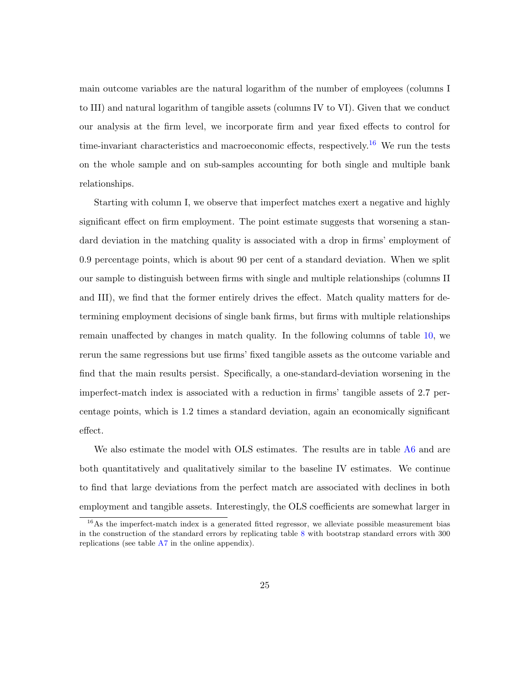main outcome variables are the natural logarithm of the number of employees (columns I to III) and natural logarithm of tangible assets (columns IV to VI). Given that we conduct our analysis at the firm level, we incorporate firm and year fixed effects to control for time-invariant characteristics and macroeconomic effects, respectively.[16](#page-24-0) We run the tests on the whole sample and on sub-samples accounting for both single and multiple bank relationships.

Starting with column I, we observe that imperfect matches exert a negative and highly significant effect on firm employment. The point estimate suggests that worsening a standard deviation in the matching quality is associated with a drop in firms' employment of 0.9 percentage points, which is about 90 per cent of a standard deviation. When we split our sample to distinguish between firms with single and multiple relationships (columns II and III), we find that the former entirely drives the effect. Match quality matters for determining employment decisions of single bank firms, but firms with multiple relationships remain unaffected by changes in match quality. In the following columns of table [10,](#page-48-0) we rerun the same regressions but use firms' fixed tangible assets as the outcome variable and find that the main results persist. Specifically, a one-standard-deviation worsening in the imperfect-match index is associated with a reduction in firms' tangible assets of 2.7 percentage points, which is 1.2 times a standard deviation, again an economically significant effect.

We also estimate the model with OLS estimates. The results are in table  $\overline{A6}$  $\overline{A6}$  $\overline{A6}$  and are both quantitatively and qualitatively similar to the baseline IV estimates. We continue to find that large deviations from the perfect match are associated with declines in both employment and tangible assets. Interestingly, the OLS coefficients are somewhat larger in

<span id="page-24-0"></span><sup>&</sup>lt;sup>16</sup>As the imperfect-match index is a generated fitted regressor, we alleviate possible measurement bias in the construction of the standard errors by replicating table  $8$  with bootstrap standard errors with  $300$ replications (see table [A7](#page-58-0) in the online appendix).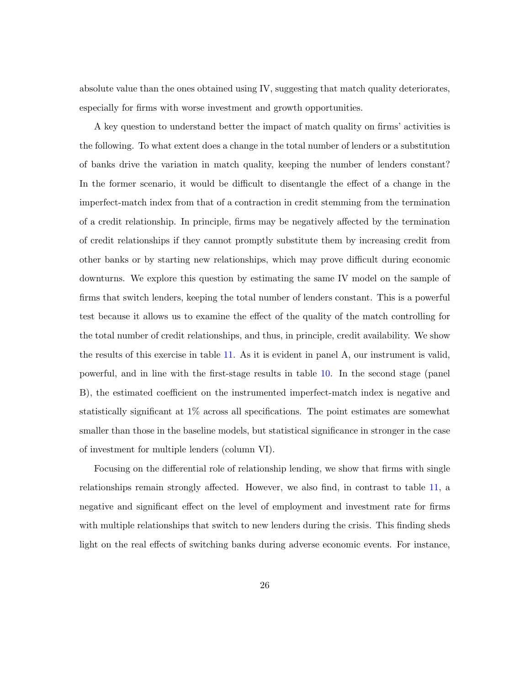absolute value than the ones obtained using IV, suggesting that match quality deteriorates, especially for firms with worse investment and growth opportunities.

A key question to understand better the impact of match quality on firms' activities is the following. To what extent does a change in the total number of lenders or a substitution of banks drive the variation in match quality, keeping the number of lenders constant? In the former scenario, it would be difficult to disentangle the effect of a change in the imperfect-match index from that of a contraction in credit stemming from the termination of a credit relationship. In principle, firms may be negatively affected by the termination of credit relationships if they cannot promptly substitute them by increasing credit from other banks or by starting new relationships, which may prove difficult during economic downturns. We explore this question by estimating the same IV model on the sample of firms that switch lenders, keeping the total number of lenders constant. This is a powerful test because it allows us to examine the effect of the quality of the match controlling for the total number of credit relationships, and thus, in principle, credit availability. We show the results of this exercise in table [11.](#page-49-0) As it is evident in panel A, our instrument is valid, powerful, and in line with the first-stage results in table [10.](#page-48-0) In the second stage (panel B), the estimated coefficient on the instrumented imperfect-match index is negative and statistically significant at 1% across all specifications. The point estimates are somewhat smaller than those in the baseline models, but statistical significance in stronger in the case of investment for multiple lenders (column VI).

Focusing on the differential role of relationship lending, we show that firms with single relationships remain strongly affected. However, we also find, in contrast to table [11,](#page-49-0) a negative and significant effect on the level of employment and investment rate for firms with multiple relationships that switch to new lenders during the crisis. This finding sheds light on the real effects of switching banks during adverse economic events. For instance,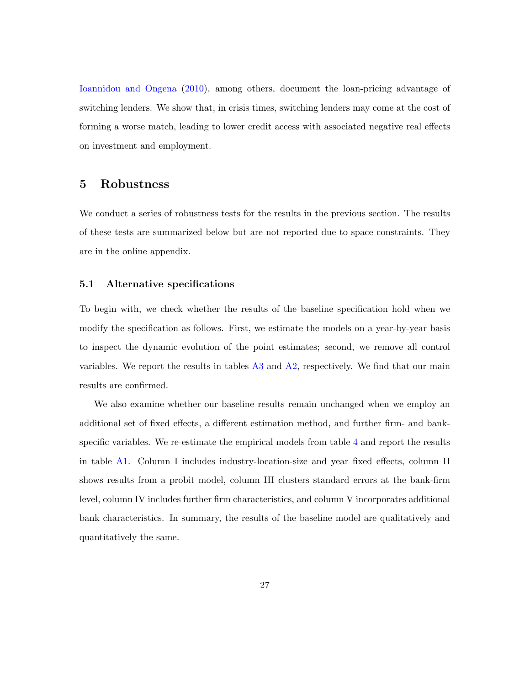[Ioannidou and Ongena](#page-34-8) [\(2010\)](#page-34-8), among others, document the loan-pricing advantage of switching lenders. We show that, in crisis times, switching lenders may come at the cost of forming a worse match, leading to lower credit access with associated negative real effects on investment and employment.

## <span id="page-26-0"></span>5 Robustness

We conduct a series of robustness tests for the results in the previous section. The results of these tests are summarized below but are not reported due to space constraints. They are in the online appendix.

#### 5.1 Alternative specifications

To begin with, we check whether the results of the baseline specification hold when we modify the specification as follows. First, we estimate the models on a year-by-year basis to inspect the dynamic evolution of the point estimates; second, we remove all control variables. We report the results in tables [A3](#page-54-0) and [A2,](#page-53-0) respectively. We find that our main results are confirmed.

We also examine whether our baseline results remain unchanged when we employ an additional set of fixed effects, a different estimation method, and further firm- and bankspecific variables. We re-estimate the empirical models from table [4](#page-42-0) and report the results in table [A1.](#page-52-0) Column I includes industry-location-size and year fixed effects, column II shows results from a probit model, column III clusters standard errors at the bank-firm level, column IV includes further firm characteristics, and column V incorporates additional bank characteristics. In summary, the results of the baseline model are qualitatively and quantitatively the same.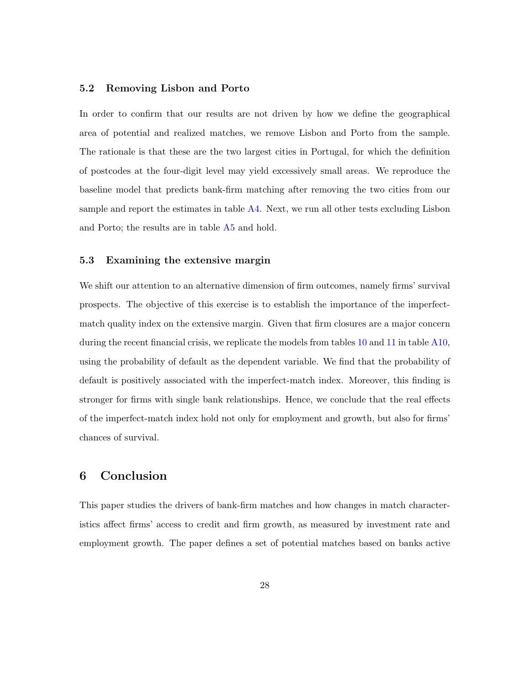#### 5.2 Removing Lisbon and Porto

In order to confirm that our results are not driven by how we define the geographical area of potential and realized matches, we remove Lisbon and Porto from the sample. The rationale is that these are the two largest cities in Portugal, for which the definition of postcodes at the four-digit level may yield excessively small areas. We reproduce the baseline model that predicts bank-firm matching after removing the two cities from our sample and report the estimates in table [A4.](#page-55-0) Next, we run all other tests excluding Lisbon and Porto; the results are in table [A5](#page-56-0) and hold.

#### 5.3 Examining the extensive margin

We shift our attention to an alternative dimension of firm outcomes, namely firms' survival prospects. The objective of this exercise is to establish the importance of the imperfectmatch quality index on the extensive margin. Given that firm closures are a major concern during the recent financial crisis, we replicate the models from tables [10](#page-48-0) and [11](#page-49-0) in table [A10,](#page-61-0) using the probability of default as the dependent variable. We find that the probability of default is positively associated with the imperfect-match index. Moreover, this finding is stronger for firms with single bank relationships. Hence, we conclude that the real effects of the imperfect-match index hold not only for employment and growth, but also for firms' chances of survival.

## <span id="page-27-0"></span>6 Conclusion

This paper studies the drivers of bank-firm matches and how changes in match characteristics affect firms' access to credit and firm growth, as measured by investment rate and employment growth. The paper defines a set of potential matches based on banks active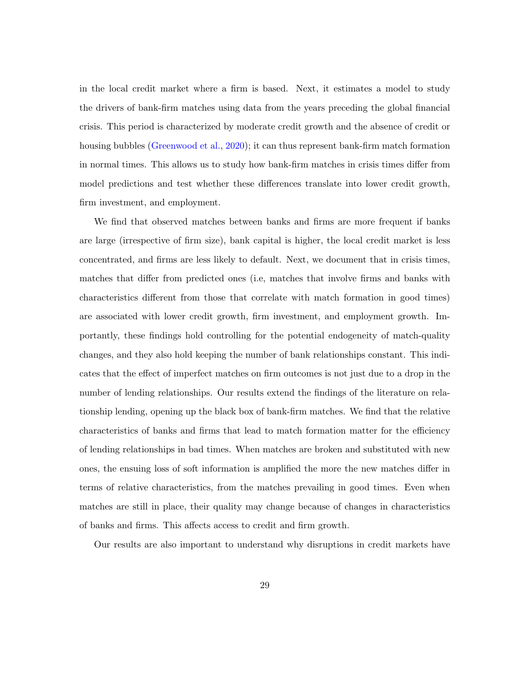in the local credit market where a firm is based. Next, it estimates a model to study the drivers of bank-firm matches using data from the years preceding the global financial crisis. This period is characterized by moderate credit growth and the absence of credit or housing bubbles [\(Greenwood et al.,](#page-33-1) [2020\)](#page-33-1); it can thus represent bank-firm match formation in normal times. This allows us to study how bank-firm matches in crisis times differ from model predictions and test whether these differences translate into lower credit growth, firm investment, and employment.

We find that observed matches between banks and firms are more frequent if banks are large (irrespective of firm size), bank capital is higher, the local credit market is less concentrated, and firms are less likely to default. Next, we document that in crisis times, matches that differ from predicted ones (i.e, matches that involve firms and banks with characteristics different from those that correlate with match formation in good times) are associated with lower credit growth, firm investment, and employment growth. Importantly, these findings hold controlling for the potential endogeneity of match-quality changes, and they also hold keeping the number of bank relationships constant. This indicates that the effect of imperfect matches on firm outcomes is not just due to a drop in the number of lending relationships. Our results extend the findings of the literature on relationship lending, opening up the black box of bank-firm matches. We find that the relative characteristics of banks and firms that lead to match formation matter for the efficiency of lending relationships in bad times. When matches are broken and substituted with new ones, the ensuing loss of soft information is amplified the more the new matches differ in terms of relative characteristics, from the matches prevailing in good times. Even when matches are still in place, their quality may change because of changes in characteristics of banks and firms. This affects access to credit and firm growth.

Our results are also important to understand why disruptions in credit markets have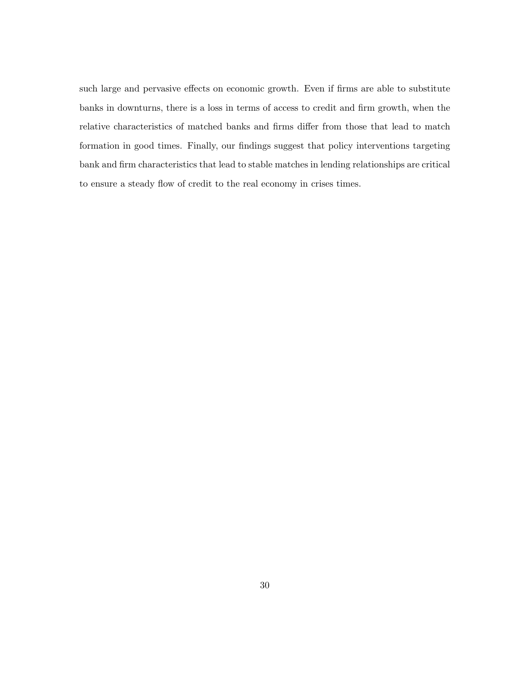such large and pervasive effects on economic growth. Even if firms are able to substitute banks in downturns, there is a loss in terms of access to credit and firm growth, when the relative characteristics of matched banks and firms differ from those that lead to match formation in good times. Finally, our findings suggest that policy interventions targeting bank and firm characteristics that lead to stable matches in lending relationships are critical to ensure a steady flow of credit to the real economy in crises times.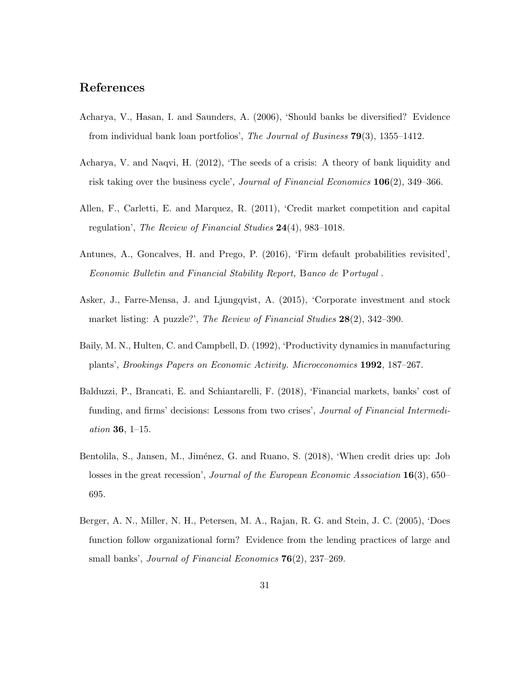## References

- <span id="page-30-5"></span>Acharya, V., Hasan, I. and Saunders, A. (2006), 'Should banks be diversified? Evidence from individual bank loan portfolios', The Journal of Business 79(3), 1355–1412.
- <span id="page-30-0"></span>Acharya, V. and Naqvi, H. (2012), 'The seeds of a crisis: A theory of bank liquidity and risk taking over the business cycle', Journal of Financial Economics 106(2), 349–366.
- <span id="page-30-1"></span>Allen, F., Carletti, E. and Marquez, R. (2011), 'Credit market competition and capital regulation', The Review of Financial Studies 24(4), 983–1018.
- <span id="page-30-6"></span>Antunes, A., Goncalves, H. and Prego, P. (2016), 'Firm default probabilities revisited', Economic Bulletin and Financial Stability Report, Banco de Portugal .
- <span id="page-30-7"></span>Asker, J., Farre-Mensa, J. and Ljungqvist, A. (2015), 'Corporate investment and stock market listing: A puzzle?', The Review of Financial Studies 28(2), 342-390.
- <span id="page-30-8"></span>Baily, M. N., Hulten, C. and Campbell, D. (1992), 'Productivity dynamics in manufacturing plants', Brookings Papers on Economic Activity. Microeconomics 1992, 187–267.
- <span id="page-30-3"></span>Balduzzi, P., Brancati, E. and Schiantarelli, F. (2018), 'Financial markets, banks' cost of funding, and firms' decisions: Lessons from two crises', Journal of Financial Intermediation 36, 1–15.
- <span id="page-30-4"></span>Bentolila, S., Jansen, M., Jiménez, G. and Ruano, S. (2018), 'When credit dries up: Job losses in the great recession', Journal of the European Economic Association 16(3), 650– 695.
- <span id="page-30-2"></span>Berger, A. N., Miller, N. H., Petersen, M. A., Rajan, R. G. and Stein, J. C. (2005), 'Does function follow organizational form? Evidence from the lending practices of large and small banks', *Journal of Financial Economics* **76**(2), 237–269.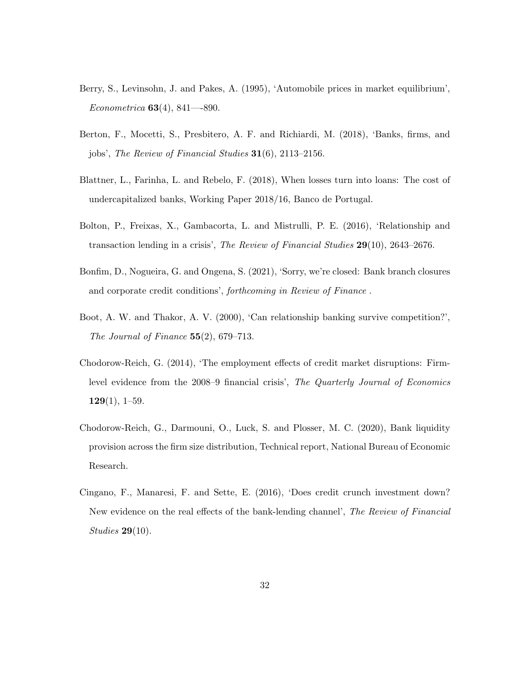- <span id="page-31-7"></span>Berry, S., Levinsohn, J. and Pakes, A. (1995), 'Automobile prices in market equilibrium', Econometrica 63(4), 841—-890.
- <span id="page-31-4"></span>Berton, F., Mocetti, S., Presbitero, A. F. and Richiardi, M. (2018), 'Banks, firms, and jobs', The Review of Financial Studies 31(6), 2113–2156.
- <span id="page-31-1"></span>Blattner, L., Farinha, L. and Rebelo, F. (2018), When losses turn into loans: The cost of undercapitalized banks, Working Paper 2018/16, Banco de Portugal.
- <span id="page-31-0"></span>Bolton, P., Freixas, X., Gambacorta, L. and Mistrulli, P. E. (2016), 'Relationship and transaction lending in a crisis', The Review of Financial Studies 29(10), 2643–2676.
- <span id="page-31-6"></span>Bonfim, D., Nogueira, G. and Ongena, S. (2021), 'Sorry, we're closed: Bank branch closures and corporate credit conditions', forthcoming in Review of Finance .
- <span id="page-31-8"></span>Boot, A. W. and Thakor, A. V. (2000), 'Can relationship banking survive competition?', The Journal of Finance  $55(2)$ , 679–713.
- <span id="page-31-3"></span>Chodorow-Reich, G. (2014), 'The employment effects of credit market disruptions: Firmlevel evidence from the 2008–9 financial crisis', The Quarterly Journal of Economics  $129(1), 1–59.$
- <span id="page-31-5"></span>Chodorow-Reich, G., Darmouni, O., Luck, S. and Plosser, M. C. (2020), Bank liquidity provision across the firm size distribution, Technical report, National Bureau of Economic Research.
- <span id="page-31-2"></span>Cingano, F., Manaresi, F. and Sette, E. (2016), 'Does credit crunch investment down? New evidence on the real effects of the bank-lending channel', The Review of Financial Studies 29(10).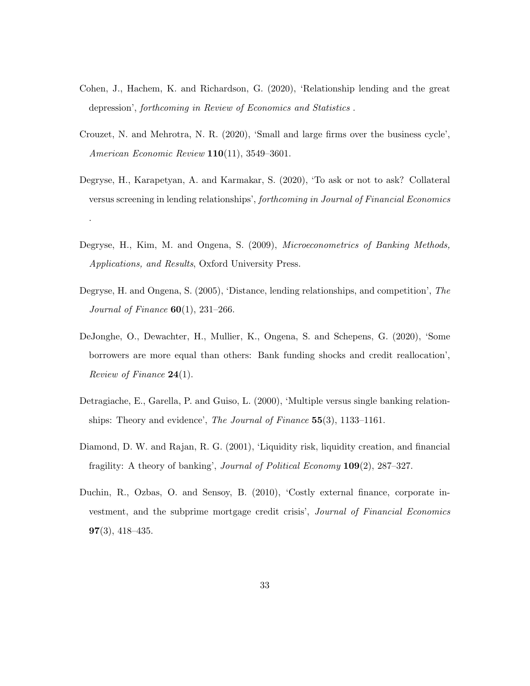- <span id="page-32-2"></span>Cohen, J., Hachem, K. and Richardson, G. (2020), 'Relationship lending and the great depression', forthcoming in Review of Economics and Statistics .
- <span id="page-32-5"></span>Crouzet, N. and Mehrotra, N. R. (2020), 'Small and large firms over the business cycle', American Economic Review 110(11), 3549–3601.
- <span id="page-32-7"></span>Degryse, H., Karapetyan, A. and Karmakar, S. (2020), 'To ask or not to ask? Collateral versus screening in lending relationships', forthcoming in Journal of Financial Economics

.

- <span id="page-32-1"></span>Degryse, H., Kim, M. and Ongena, S. (2009), *Microeconometrics of Banking Methods*, Applications, and Results, Oxford University Press.
- <span id="page-32-6"></span>Degryse, H. and Ongena, S. (2005), 'Distance, lending relationships, and competition', The *Journal of Finance*  $60(1)$ , 231–266.
- <span id="page-32-4"></span>DeJonghe, O., Dewachter, H., Mullier, K., Ongena, S. and Schepens, G. (2020), 'Some borrowers are more equal than others: Bank funding shocks and credit reallocation', Review of Finance  $24(1)$ .
- <span id="page-32-8"></span>Detragiache, E., Garella, P. and Guiso, L. (2000), 'Multiple versus single banking relationships: Theory and evidence', *The Journal of Finance*  $55(3)$ , 1133–1161.
- <span id="page-32-0"></span>Diamond, D. W. and Rajan, R. G. (2001), 'Liquidity risk, liquidity creation, and financial fragility: A theory of banking', Journal of Political Economy 109(2), 287–327.
- <span id="page-32-3"></span>Duchin, R., Ozbas, O. and Sensoy, B. (2010), 'Costly external finance, corporate investment, and the subprime mortgage credit crisis', Journal of Financial Economics  $97(3)$ , 418–435.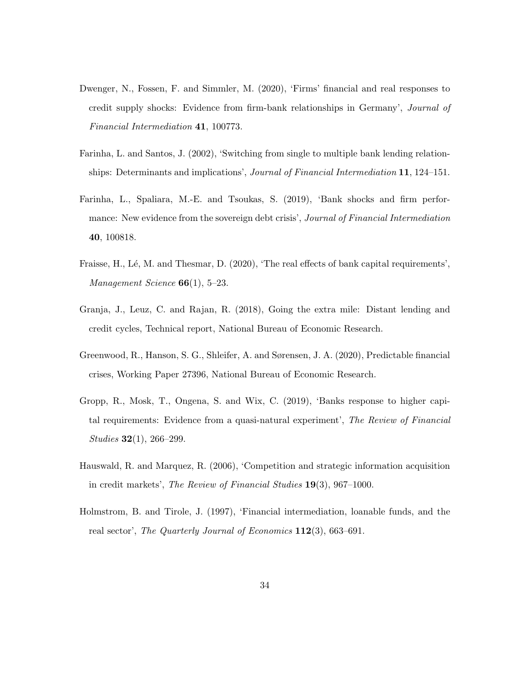- <span id="page-33-5"></span>Dwenger, N., Fossen, F. and Simmler, M. (2020), 'Firms' financial and real responses to credit supply shocks: Evidence from firm-bank relationships in Germany', Journal of Financial Intermediation 41, 100773.
- <span id="page-33-8"></span>Farinha, L. and Santos, J. (2002), 'Switching from single to multiple bank lending relationships: Determinants and implications', *Journal of Financial Intermediation* 11, 124–151.
- <span id="page-33-4"></span>Farinha, L., Spaliara, M.-E. and Tsoukas, S. (2019), 'Bank shocks and firm performance: New evidence from the sovereign debt crisis', Journal of Financial Intermediation 40, 100818.
- <span id="page-33-3"></span>Fraisse, H., Lé, M. and Thesmar, D. (2020), 'The real effects of bank capital requirements', Management Science  $66(1)$ , 5-23.
- <span id="page-33-7"></span>Granja, J., Leuz, C. and Rajan, R. (2018), Going the extra mile: Distant lending and credit cycles, Technical report, National Bureau of Economic Research.
- <span id="page-33-1"></span>Greenwood, R., Hanson, S. G., Shleifer, A. and Sørensen, J. A. (2020), Predictable financial crises, Working Paper 27396, National Bureau of Economic Research.
- <span id="page-33-2"></span>Gropp, R., Mosk, T., Ongena, S. and Wix, C. (2019), 'Banks response to higher capital requirements: Evidence from a quasi-natural experiment', The Review of Financial Studies  $32(1)$ , 266–299.
- <span id="page-33-6"></span>Hauswald, R. and Marquez, R. (2006), 'Competition and strategic information acquisition in credit markets', The Review of Financial Studies 19(3), 967–1000.
- <span id="page-33-0"></span>Holmstrom, B. and Tirole, J. (1997), 'Financial intermediation, loanable funds, and the real sector', The Quarterly Journal of Economics 112(3), 663–691.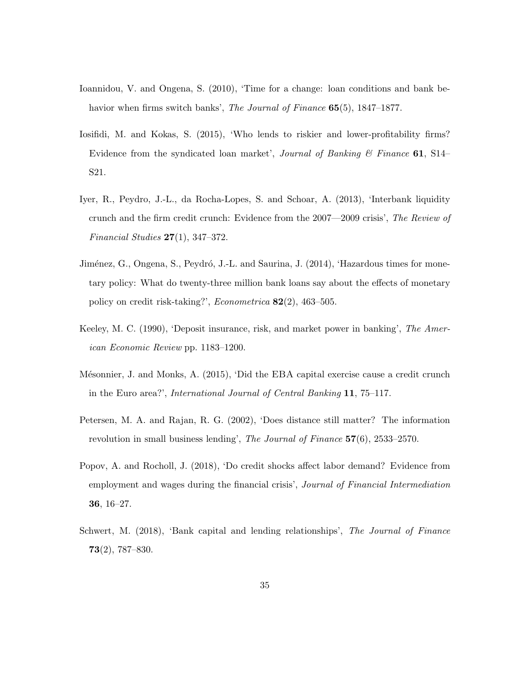- <span id="page-34-8"></span>Ioannidou, V. and Ongena, S. (2010), 'Time for a change: loan conditions and bank behavior when firms switch banks', *The Journal of Finance* **65**(5), 1847–1877.
- <span id="page-34-5"></span>Iosifidi, M. and Kokas, S. (2015), 'Who lends to riskier and lower-profitability firms? Evidence from the syndicated loan market', Journal of Banking  $\mathcal C$  Finance 61, S14– S21.
- <span id="page-34-4"></span>Iyer, R., Peydro, J.-L., da Rocha-Lopes, S. and Schoar, A. (2013), 'Interbank liquidity crunch and the firm credit crunch: Evidence from the 2007—2009 crisis', The Review of Financial Studies  $27(1)$ , 347-372.
- <span id="page-34-7"></span>Jiménez, G., Ongena, S., Peydró, J.-L. and Saurina, J. (2014), 'Hazardous times for monetary policy: What do twenty-three million bank loans say about the effects of monetary policy on credit risk-taking?', Econometrica 82(2), 463–505.
- <span id="page-34-0"></span>Keeley, M. C. (1990), 'Deposit insurance, risk, and market power in banking', The American Economic Review pp. 1183–1200.
- <span id="page-34-6"></span>Mésonnier, J. and Monks, A. (2015), 'Did the EBA capital exercise cause a credit crunch in the Euro area?', International Journal of Central Banking 11, 75–117.
- <span id="page-34-3"></span>Petersen, M. A. and Rajan, R. G. (2002), 'Does distance still matter? The information revolution in small business lending', The Journal of Finance 57(6), 2533–2570.
- <span id="page-34-2"></span>Popov, A. and Rocholl, J. (2018), 'Do credit shocks affect labor demand? Evidence from employment and wages during the financial crisis', Journal of Financial Intermediation 36, 16–27.
- <span id="page-34-1"></span>Schwert, M. (2018), 'Bank capital and lending relationships', The Journal of Finance 73(2), 787–830.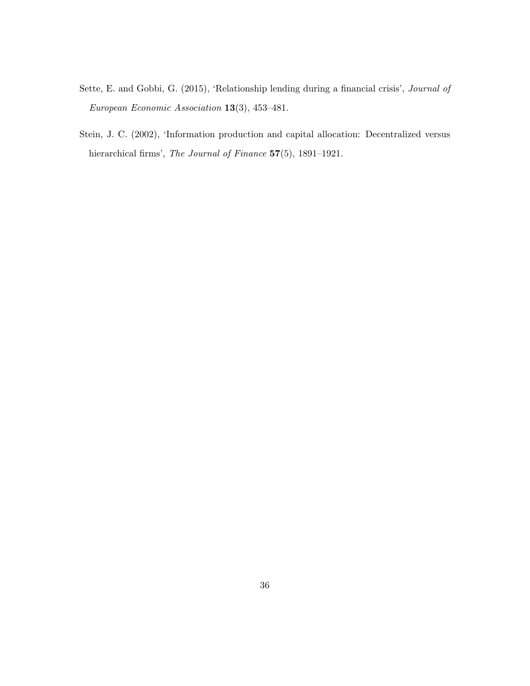- <span id="page-35-0"></span>Sette, E. and Gobbi, G. (2015), 'Relationship lending during a financial crisis', Journal of European Economic Association 13(3), 453–481.
- <span id="page-35-1"></span>Stein, J. C. (2002), 'Information production and capital allocation: Decentralized versus hierarchical firms', The Journal of Finance 57(5), 1891-1921.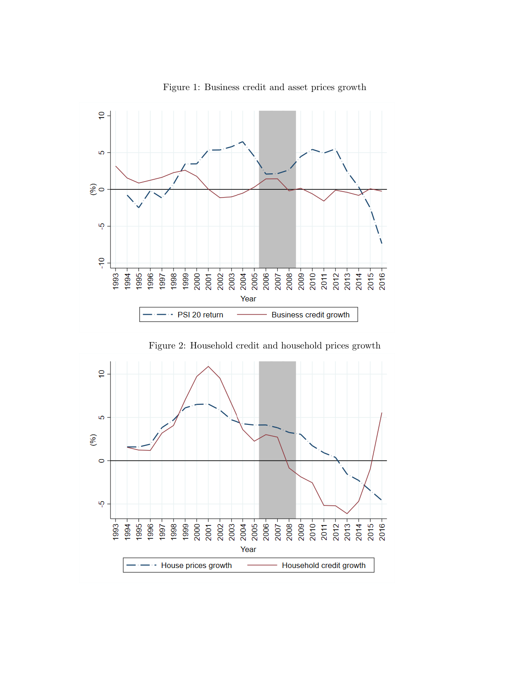<span id="page-36-0"></span>

Figure 1: Business credit and asset prices growth

Figure 2: Household credit and household prices growth

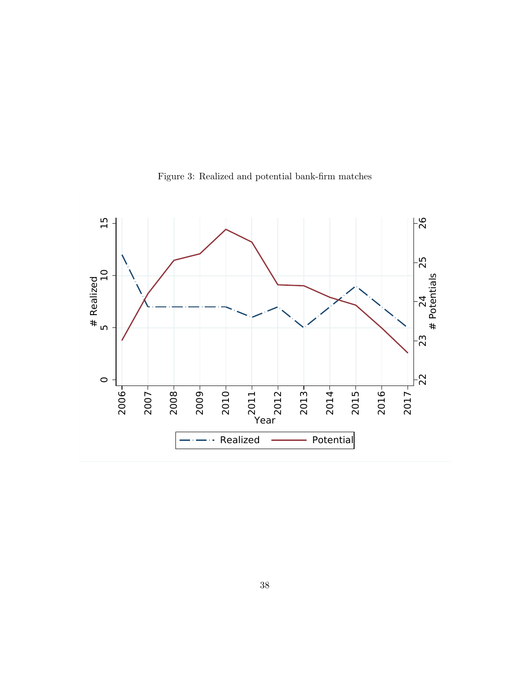<span id="page-37-0"></span>

Figure 3: Realized and potential bank-firm matches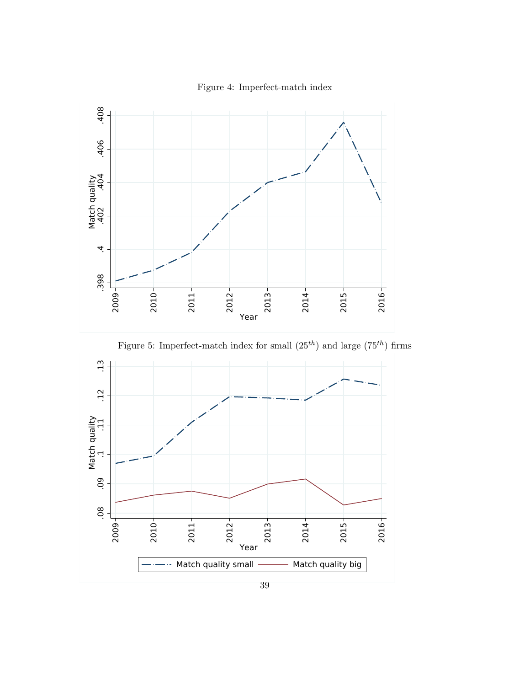<span id="page-38-0"></span>

Figure 4: Imperfect-match index



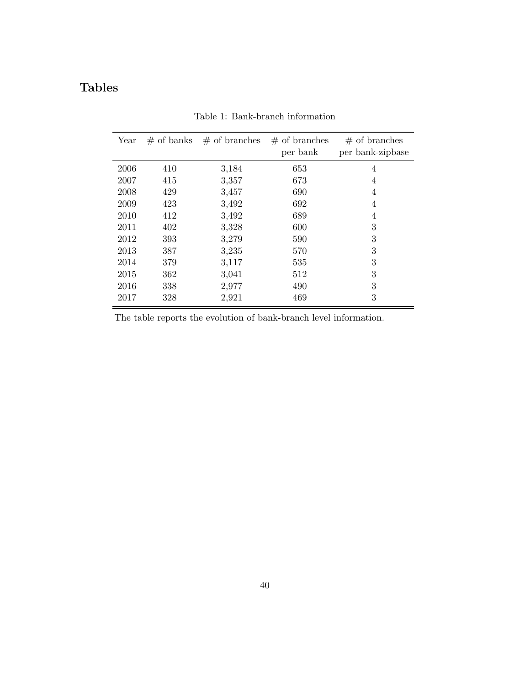# Tables

<span id="page-39-0"></span>

| Year | $#$ of banks | $\#$ of branches | $#$ of branches<br>per bank | $#$ of branches<br>per bank-zipbase |
|------|--------------|------------------|-----------------------------|-------------------------------------|
| 2006 | 410          | 3,184            | 653                         | 4                                   |
| 2007 | 415          | 3,357            | 673                         | 4                                   |
| 2008 | 429          | 3,457            | 690                         | 4                                   |
| 2009 | 423          | 3,492            | 692                         | 4                                   |
| 2010 | 412          | 3,492            | 689                         | 4                                   |
| 2011 | 402          | 3,328            | 600                         | 3                                   |
| 2012 | 393          | 3,279            | 590                         | 3                                   |
| 2013 | 387          | 3,235            | 570                         | 3                                   |
| 2014 | 379          | 3,117            | 535                         | 3                                   |
| 2015 | 362          | 3,041            | 512                         | 3                                   |
| 2016 | 338          | 2,977            | 490                         | 3                                   |
| 2017 | 328          | 2,921            | 469                         | 3                                   |

Table 1: Bank-branch information

The table reports the evolution of bank-branch level information.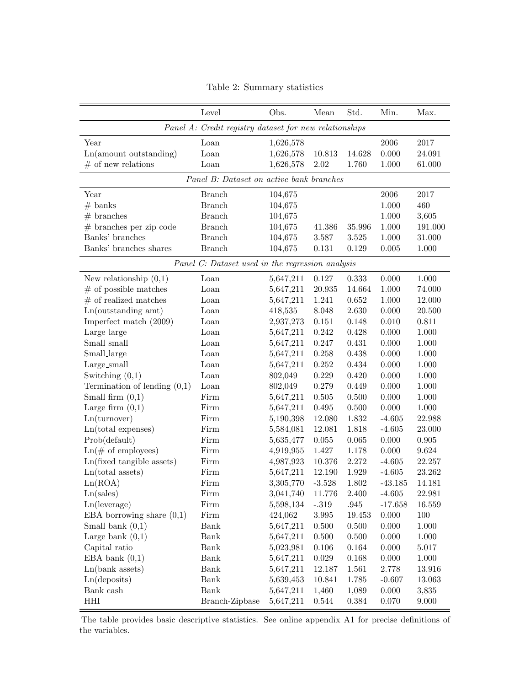<span id="page-40-0"></span>

|                                     | Level                                                  | Obs.      | Mean     | Std.      | Min.      | Max.      |
|-------------------------------------|--------------------------------------------------------|-----------|----------|-----------|-----------|-----------|
|                                     | Panel A: Credit registry dataset for new relationships |           |          |           |           |           |
| Year                                | Loan                                                   | 1,626,578 |          |           | 2006      | 2017      |
| $Ln(amout$ sutstanding)             | Loan                                                   | 1,626,578 | 10.813   | 14.628    | 0.000     | 24.091    |
| $\#$ of new relations               | Loan                                                   | 1,626,578 | $2.02\,$ | 1.760     | 1.000     | 61.000    |
|                                     | Panel B: Dataset on active bank branches               |           |          |           |           |           |
| Year                                | <b>Branch</b>                                          | 104,675   |          |           | 2006      | 2017      |
| $#$ banks                           | <b>Branch</b>                                          | 104,675   |          |           | 1.000     | 460       |
| $#$ branches                        | <b>Branch</b>                                          | 104,675   |          |           | 1.000     | 3,605     |
| $#$ branches per zip code           | <b>Branch</b>                                          | 104,675   | 41.386   | 35.996    | 1.000     | 191.000   |
| Banks' branches                     | <b>Branch</b>                                          | 104,675   | 3.587    | 3.525     | 1.000     | 31.000    |
| Banks' branches shares              | <b>Branch</b>                                          | 104,675   | 0.131    | 0.129     | 0.005     | 1.000     |
|                                     | Panel C: Dataset used in the regression analysis       |           |          |           |           |           |
| New relationship $(0,1)$            | Loan                                                   | 5,647,211 | 0.127    | 0.333     | 0.000     | 1.000     |
| $#$ of possible matches             | Loan                                                   | 5,647,211 | 20.935   | 14.664    | 1.000     | 74.000    |
| $#$ of realized matches             | L <sub>oan</sub>                                       | 5,647,211 | 1.241    | 0.652     | 1.000     | 12.000    |
| Ln(outstanding amt)                 | L <sub>oan</sub>                                       | 418,535   | 8.048    | 2.630     | 0.000     | 20.500    |
| Imperfect match (2009)              | Loan                                                   | 2,937,273 | 0.151    | 0.148     | 0.010     | 0.811     |
| Large_large                         | Loan                                                   | 5,647,211 | 0.242    | 0.428     | 0.000     | 1.000     |
| Small_small                         | Loan                                                   | 5,647,211 | 0.247    | 0.431     | 0.000     | 1.000     |
| Small_large                         | Loan                                                   | 5,647,211 | 0.258    | 0.438     | 0.000     | 1.000     |
| Large_small                         | Loan                                                   | 5,647,211 | 0.252    | 0.434     | 0.000     | 1.000     |
| Switching $(0,1)$                   | Loan                                                   | 802,049   | 0.229    | 0.420     | 0.000     | 1.000     |
| Termination of lending $(0,1)$      | Loan                                                   | 802,049   | 0.279    | 0.449     | 0.000     | 1.000     |
| Small firm $(0,1)$                  | $\operatorname{Firm}$                                  | 5,647,211 | 0.505    | 0.500     | 0.000     | 1.000     |
| Large firm $(0,1)$                  | Firm                                                   | 5,647,211 | 0.495    | $0.500\,$ | 0.000     | 1.000     |
| Ln(turnover)                        | Firm                                                   | 5,190,398 | 12.080   | 1.832     | $-4.605$  | 22.988    |
| $Ln(total$ expenses)                | Firm                                                   | 5,584,081 | 12.081   | 1.818     | $-4.605$  | 23.000    |
| Prob(default)                       | Firm                                                   | 5,635,477 | 0.055    | 0.065     | 0.000     | 0.905     |
| $\text{Ln}(\text{\# of employees})$ | Firm                                                   | 4,919,955 | 1.427    | 1.178     | 0.000     | $9.624\,$ |
| Ln(fixed tangible assets)           | Firm                                                   | 4,987,923 | 10.376   | 2.272     | $-4.605$  | 22.257    |
| $Ln(total$ assets)                  | Firm                                                   | 5,647,211 | 12.190   | 1.929     | $-4.605$  | 23.262    |
| Ln(ROA)                             | Firm                                                   | 3,305,770 | $-3.528$ | 1.802     | $-43.185$ | 14.181    |
| Ln(sales)                           | Firm                                                   | 3,041,740 | 11.776   | 2.400     | $-4.605$  | 22.981    |
| Ln(leverage)                        | Firm                                                   | 5,598,134 | $-.319$  | .945      | $-17.658$ | 16.559    |
| EBA borrowing share $(0,1)$         | Firm                                                   | 424,062   | 3.995    | 19.453    | 0.000     | 100       |
|                                     | Bank                                                   |           |          |           |           |           |
| Small bank $(0,1)$                  | Bank                                                   | 5,647,211 | 0.500    | 0.500     | 0.000     | 1.000     |
| Large bank $(0,1)$                  |                                                        | 5,647,211 | 0.500    | 0.500     | 0.000     | 1.000     |
| Capital ratio                       | Bank                                                   | 5,023,981 | 0.106    | 0.164     | 0.000     | 5.017     |
| EBA bank $(0,1)$                    | Bank                                                   | 5,647,211 | 0.029    | 0.168     | 0.000     | 1.000     |
| $Ln(bank$ assets)                   | Bank                                                   | 5,647,211 | 12.187   | 1.561     | 2.778     | 13.916    |
| Ln(deposits)                        | Bank                                                   | 5,639,453 | 10.841   | 1.785     | $-0.607$  | 13.063    |
| Bank cash                           | Bank                                                   | 5,647,211 | 1,460    | 1,089     | 0.000     | 3,835     |
| HHI                                 | Branch-Zipbase                                         | 5,647,211 | 0.544    | 0.384     | 0.070     | 9.000     |

Table 2: Summary statistics

The table provides basic descriptive statistics. See online appendix A1 for precise definitions of the variables.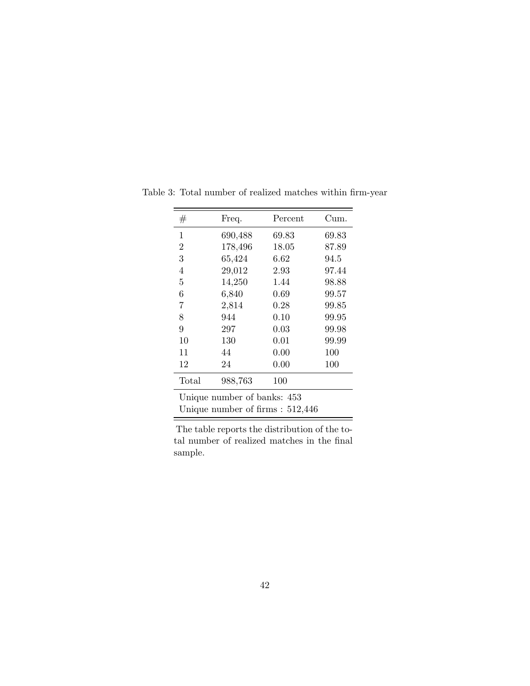| #                                                                 | Freq.   | Percent | Cum.  |  |  |
|-------------------------------------------------------------------|---------|---------|-------|--|--|
| 1                                                                 | 690,488 | 69.83   | 69.83 |  |  |
| $\overline{2}$                                                    | 178,496 | 18.05   | 87.89 |  |  |
| 3                                                                 | 65,424  | 6.62    | 94.5  |  |  |
| 4                                                                 | 29,012  | 2.93    | 97.44 |  |  |
| 5                                                                 | 14,250  | 1.44    | 98.88 |  |  |
| 6                                                                 | 6,840   | 0.69    | 99.57 |  |  |
| 7                                                                 | 2,814   | 0.28    | 99.85 |  |  |
| 8                                                                 | 944     | 0.10    | 99.95 |  |  |
| 9                                                                 | 297     | 0.03    | 99.98 |  |  |
| 10                                                                | 130     | 0.01    | 99.99 |  |  |
| 11                                                                | 44      | 0.00    | 100   |  |  |
| 12                                                                | 24      | 0.00    | 100   |  |  |
| Total                                                             | 988,763 | 100     |       |  |  |
| Unique number of banks: 453<br>Unique number of firms : $512,446$ |         |         |       |  |  |

<span id="page-41-0"></span>Table 3: Total number of realized matches within firm-year

The table reports the distribution of the total number of realized matches in the final sample.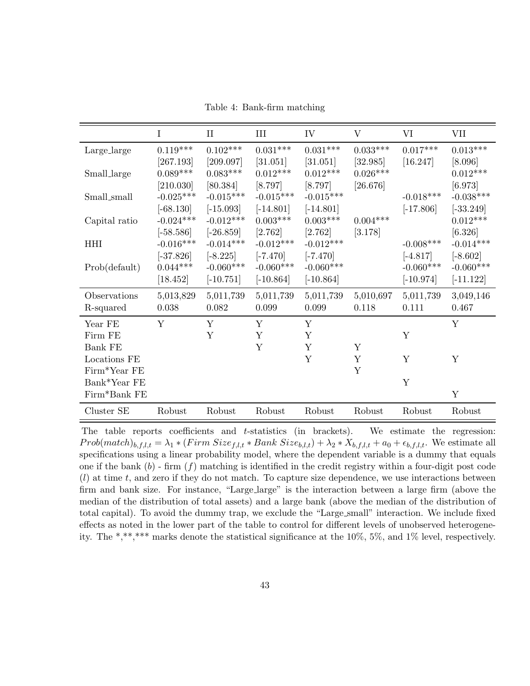|  | Table 4: Bank-firm matching |  |
|--|-----------------------------|--|
|--|-----------------------------|--|

<span id="page-42-0"></span>

|                | Ι           | $_{\rm II}$ | Ш           | IV              | $\rm V$         | VI          | VII         |
|----------------|-------------|-------------|-------------|-----------------|-----------------|-------------|-------------|
| Large_large    | $0.119***$  | $0.102***$  | $0.031***$  | $0.031***$      | $0.033^{***}\,$ | $0.017***$  | $0.013***$  |
|                | [267.193]   | [209.097]   | [31.051]    | [31.051]        | [32.985]        | [16.247]    | [8.096]     |
| Small_large    | $0.089***$  | $0.083***$  | $0.012***$  | $0.012***$      | $0.026***$      |             | $0.012***$  |
|                | [210.030]   | [80.384]    | [8.797]     | [8.797]         | [26.676]        |             | [6.973]     |
| Small_small    | $-0.025***$ | $-0.015***$ | $-0.015***$ | $-0.015***$     |                 | $-0.018***$ | $-0.038***$ |
|                | $[-68.130]$ | $[-15.093]$ | $[-14.801]$ | $[-14.801]$     |                 | $[-17.806]$ | $[-33.249]$ |
| Capital ratio  | $-0.024***$ | $-0.012***$ | $0.003***$  | $0.003^{***}\,$ | $0.004***$      |             | $0.012***$  |
|                | $[-58.586]$ | $[-26.859]$ | [2.762]     | [2.762]         | [3.178]         |             | [6.326]     |
| <b>HHI</b>     | $-0.016***$ | $-0.014***$ | $-0.012***$ | $-0.012***$     |                 | $-0.008***$ | $-0.014***$ |
|                | $[-37.826]$ | $[-8.225]$  | $[-7.470]$  | $[-7.470]$      |                 | $[-4.817]$  | $[-8.602]$  |
| Prob(default)  | $0.044***$  | $-0.060***$ | $-0.060***$ | $-0.060***$     |                 | $-0.060***$ | $-0.060***$ |
|                | [18.452]    | $[-10.751]$ | $[-10.864]$ | $[-10.864]$     |                 | $[-10.974]$ | $[-11.122]$ |
| Observations   | 5,013,829   | 5,011,739   | 5,011,739   | 5,011,739       | 5,010,697       | 5,011,739   | 3,049,146   |
| R-squared      | 0.038       | 0.082       | 0.099       | 0.099           | 0.118           | 0.111       | 0.467       |
| Year FE        | Y           | Y           | Y           | Y               |                 |             | Y           |
| Firm FE        |             | Y           | Y           | Y               |                 | Y           |             |
| <b>Bank FE</b> |             |             | Y           | Y               | Y               |             |             |
| Locations FE   |             |             |             | Y               | Y               | Y           | Y           |
| Firm*Year FE   |             |             |             |                 | Y               |             |             |
| Bank*Year FE   |             |             |             |                 |                 | Y           |             |
| Firm*Bank FE   |             |             |             |                 |                 |             | Y           |
| Cluster SE     | Robust      | Robust      | Robust      | Robust          | Robust          | Robust      | Robust      |

The table reports coefficients and t-statistics (in brackets). We estimate the regression: Prob(match)<sub>b,f,l,t</sub> =  $\lambda_1 * (Firm Size_{f,l,t} * Bank Size_{b,l,t}) + \lambda_2 * X_{b,f,l,t} + a_0 + \epsilon_{b,f,l,t}$ . We estimate all specifications using a linear probability model, where the dependent variable is a dummy that equals one if the bank  $(b)$  - firm  $(f)$  matching is identified in the credit registry within a four-digit post code  $(l)$  at time t, and zero if they do not match. To capture size dependence, we use interactions between firm and bank size. For instance, "Large\_large" is the interaction between a large firm (above the median of the distribution of total assets) and a large bank (above the median of the distribution of total capital). To avoid the dummy trap, we exclude the "Large small" interaction. We include fixed effects as noted in the lower part of the table to control for different levels of unobserved heterogeneity. The \*,\*\*,\*\*\* marks denote the statistical significance at the 10%, 5%, and 1% level, respectively.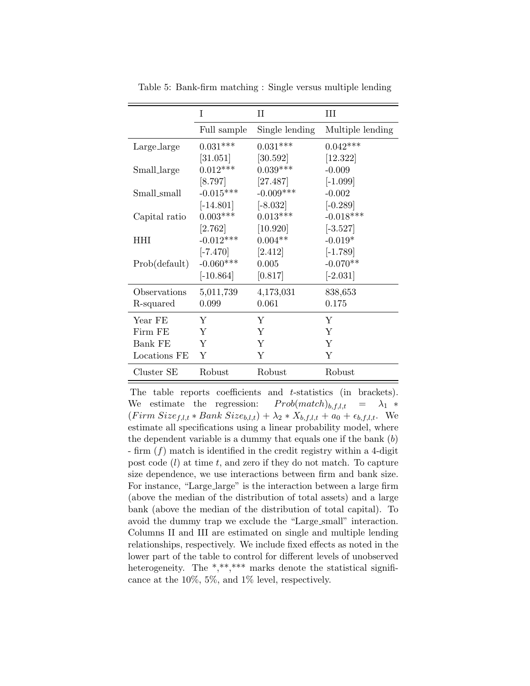<span id="page-43-0"></span>

|               | T           | П              | Ш                |
|---------------|-------------|----------------|------------------|
|               | Full sample | Single lending | Multiple lending |
| Large_large   | $0.031***$  | $0.031***$     | $0.042***$       |
|               | [31.051]    | $[30.592]$     | [12.322]         |
| Small_large   | $0.012***$  | $0.039***$     | $-0.009$         |
|               | [8.797]     | [27.487]       | $[-1.099]$       |
| Small_small   | $-0.015***$ | $-0.009***$    | $-0.002$         |
|               | $[-14.801]$ | $[-8.032]$     | $[-0.289]$       |
| Capital ratio | $0.003***$  | $0.013***$     | $-0.018***$      |
|               | [2.762]     | [10.920]       | $[-3.527]$       |
| <b>HHI</b>    | $-0.012***$ | $0.004**$      | $-0.019*$        |
|               | $[-7.470]$  | [2.412]        | $[-1.789]$       |
| Prob(default) | $-0.060***$ | 0.005          | $-0.070**$       |
|               | $[-10.864]$ | [0.817]        | $[-2.031]$       |
| Observations  | 5,011,739   | 4,173,031      | 838,653          |
| R-squared     | 0.099       | 0.061          | 0.175            |
| Year FE       | Y           | Y              | Y                |
| Firm FE       | Y           | Y              | Y                |
| Bank FE       | Y           | Y              | Y                |
| Locations FE  | Y           | Y              | Y                |
| Cluster SE    | Robust      | Robust         | Robust           |

Table 5: Bank-firm matching : Single versus multiple lending

The table reports coefficients and t-statistics (in brackets). We estimate the regression:  $Prob(match)_{b,f,l,t} = \lambda_1 *$  $(Firm \, Size_{f,l,t} * Bank \, Size_{b,l,t}) + \lambda_2 * X_{b,f,l,t} + a_0 + \epsilon_{b,f,l,t}.$  We estimate all specifications using a linear probability model, where the dependent variable is a dummy that equals one if the bank  $(b)$ - firm  $(f)$  match is identified in the credit registry within a 4-digit post code  $(l)$  at time t, and zero if they do not match. To capture size dependence, we use interactions between firm and bank size. For instance, "Large large" is the interaction between a large firm (above the median of the distribution of total assets) and a large bank (above the median of the distribution of total capital). To avoid the dummy trap we exclude the "Large small" interaction. Columns II and III are estimated on single and multiple lending relationships, respectively. We include fixed effects as noted in the lower part of the table to control for different levels of unobserved heterogeneity. The  $*,****$  marks denote the statistical significance at the 10%, 5%, and 1% level, respectively.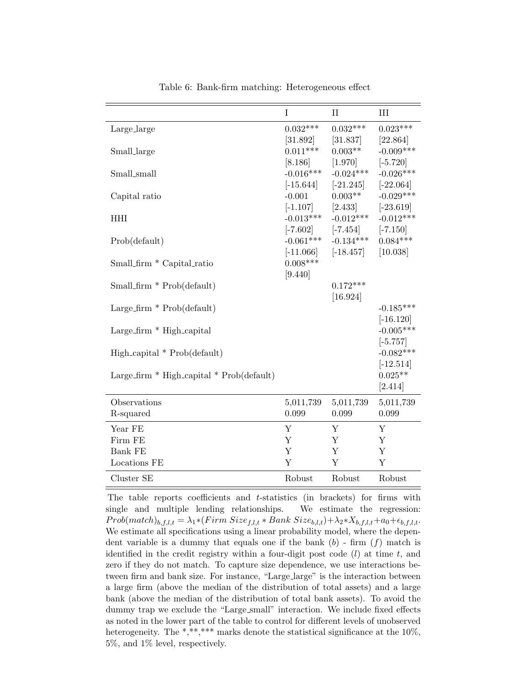<span id="page-44-0"></span>

|                                               | $\mathbf I$             | $\mathbf{I}$             | III                        |
|-----------------------------------------------|-------------------------|--------------------------|----------------------------|
| Large_large                                   | $0.032***$              | $0.032***$               | $0.023***$                 |
|                                               | [31.892]                | [31.837]                 | [22.864]                   |
| Small_large                                   | $0.011***$              | $0.003**$                | $-0.009***$                |
|                                               | [8.186]                 | [1.970]                  | $[-5.720]$                 |
| Small_small                                   | $-0.016***$             | $-0.024***$              | $-0.026***$                |
| Capital ratio                                 | $[-15.644]$<br>$-0.001$ | $[-21.245]$<br>$0.003**$ | $[-22.064]$<br>$-0.029***$ |
|                                               | $[-1.107]$              | [2.433]                  | $[-23.619]$                |
| <b>HHI</b>                                    | $-0.013***$             | $-0.012***$              | $-0.012***$                |
|                                               | $[-7.602]$              | $[-7.454]$               | $[-7.150]$                 |
| Prob(default)                                 | $-0.061***$             | $-0.134***$              | $0.084***$                 |
|                                               | $[-11.066]$             | $[-18.457]$              | [10.038]                   |
| Small_firm * Capital_ratio                    | $0.008***$              |                          |                            |
|                                               | [9.440]                 |                          |                            |
| Small_firm $*$ Prob(default)                  |                         | $0.172***$               |                            |
|                                               |                         | [16.924]                 |                            |
| Large_firm $*$ Prob(default)                  |                         |                          | $-0.185***$                |
| $Large\_firm * High\_capital$                 |                         |                          | $[-16.120]$<br>$-0.005***$ |
|                                               |                         |                          | $[-5.757]$                 |
| $High\_capital * Prob(default)$               |                         |                          | $-0.082***$                |
|                                               |                         |                          | $[-12.514]$                |
| Large_firm $*$ High_capital $*$ Prob(default) |                         |                          | $0.025**$                  |
|                                               |                         |                          | [2.414]                    |
| Observations                                  | 5,011,739               | 5,011,739                | 5,011,739                  |
| R-squared                                     | 0.099                   | 0.099                    | 0.099                      |
| Year FE                                       | Y                       | Y                        | Y                          |
| Firm FE                                       | Y                       | Y                        | Y                          |
| <b>Bank FE</b>                                | Y                       | Y                        | Y                          |
| Locations FE                                  | Y                       | Y                        | Y                          |
| Cluster SE                                    | Robust                  | Robust                   | Robust                     |

Table 6: Bank-firm matching: Heterogeneous effect

The table reports coefficients and  $t$ -statistics (in brackets) for firms with single and multiple lending relationships. We estimate the regression:  $Prob(match)_{b,f,l,t} = \lambda_1 * (Firm\ Size_{f,l,t} * Bank\ Size_{b,l,t}) + \lambda_2 * X_{b,f,l,t} + a_0 + \epsilon_{b,f,l,t}.$ We estimate all specifications using a linear probability model, where the dependent variable is a dummy that equals one if the bank  $(b)$  - firm  $(f)$  match is identified in the credit registry within a four-digit post code  $(l)$  at time t, and zero if they do not match. To capture size dependence, we use interactions between firm and bank size. For instance, "Large large" is the interaction between a large firm (above the median of the distribution of total assets) and a large bank (above the median of the distribution of total bank assets). To avoid the dummy trap we exclude the "Large\_small" interaction. We include fixed effects as noted in the lower part of the table to control for different levels of unobserved heterogeneity. The \*,\*\*,\*\*\* marks denote the statistical significance at the  $10\%$ , 5%, and 1% level, respectively.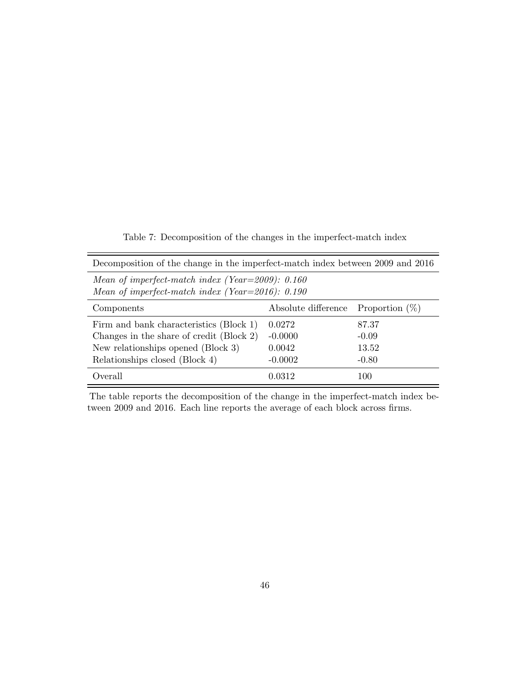<span id="page-45-0"></span>Decomposition of the change in the imperfect-match index between 2009 and 2016 Mean of imperfect-match index (Year=2009): 0.160 Mean of imperfect-match index (Year=2016): 0.190 Components Absolute difference Proportion (%) Firm and bank characteristics (Block 1) 0.0272 87.37 Changes in the share of credit  $(Block 2) -0.0000$  -0.09 New relationships opened (Block 3) 0.0042 13.52 Relationships closed (Block 4) -0.0002 -0.80 Overall 0.0312 100

Table 7: Decomposition of the changes in the imperfect-match index

The table reports the decomposition of the change in the imperfect-match index between 2009 and 2016. Each line reports the average of each block across firms.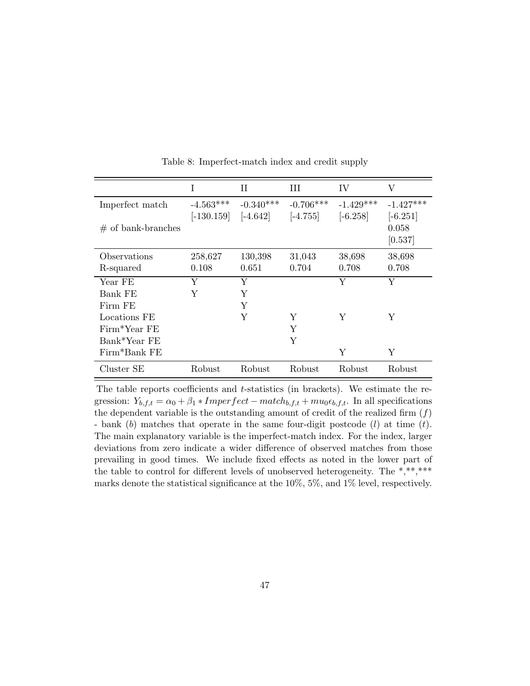<span id="page-46-0"></span>

|                      |              | Н           | Ш           | IV          | V           |
|----------------------|--------------|-------------|-------------|-------------|-------------|
| Imperfect match      | $-4.563***$  | $-0.340***$ | $-0.706***$ | $-1.429***$ | $-1.427***$ |
|                      | $[-130.159]$ | $[-4.642]$  | $[-4.755]$  | $[-6.258]$  | $[-6.251]$  |
| $#$ of bank-branches |              |             |             |             | 0.058       |
|                      |              |             |             |             | [0.537]     |
| Observations         | 258,627      | 130,398     | 31,043      | 38,698      | 38,698      |
| R-squared            | 0.108        | 0.651       | 0.704       | 0.708       | 0.708       |
| Year FE              | Y            | Y           |             | Y           | Y           |
| Bank FE              | Y            | Y           |             |             |             |
| Firm FE              |              | Y           |             |             |             |
| Locations FE         |              | Y           | Y           | Y           | Y           |
| Firm*Year FE         |              |             | Y           |             |             |
| Bank*Year FE         |              |             | Υ           |             |             |
| Firm*Bank FE         |              |             |             | Y           | Y           |
| Cluster SE           | Robust       | Robust      | Robust      | Robust      | Robust      |

Table 8: Imperfect-match index and credit supply

The table reports coefficients and t-statistics (in brackets). We estimate the regression:  $Y_{b,f,t} = \alpha_0 + \beta_1 * Imperfect - match_{b,f,t} + mu_0 \epsilon_{b,f,t}.$  In all specifications the dependent variable is the outstanding amount of credit of the realized firm  $(f)$ - bank  $(b)$  matches that operate in the same four-digit postcode  $(l)$  at time  $(t)$ . The main explanatory variable is the imperfect-match index. For the index, larger deviations from zero indicate a wider difference of observed matches from those prevailing in good times. We include fixed effects as noted in the lower part of the table to control for different levels of unobserved heterogeneity. The \*,\*\*,\*\*\* marks denote the statistical significance at the 10%, 5%, and 1% level, respectively.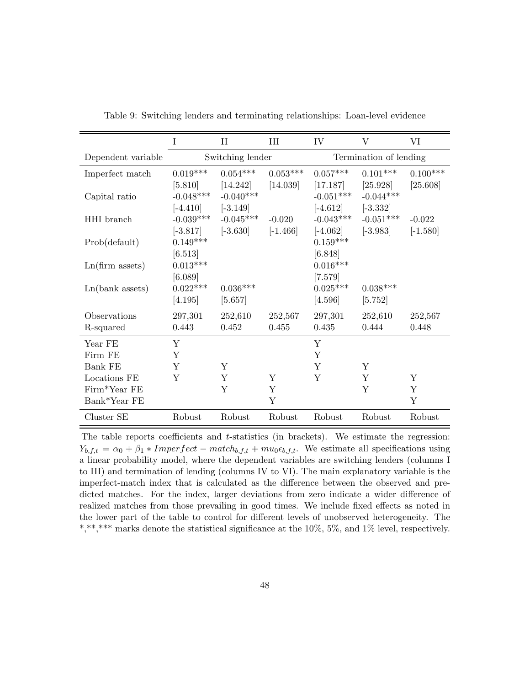<span id="page-47-0"></span>

|                      | I                     | $\rm II$         | III        | IV                    | $\overline{\mathrm{V}}$ | VI          |  |  |
|----------------------|-----------------------|------------------|------------|-----------------------|-------------------------|-------------|--|--|
| Dependent variable   |                       | Switching lender |            |                       | Termination of lending  |             |  |  |
| Imperfect match      | $0.019***$            | $0.054***$       | $0.053***$ | $0.057***$            | $0.101***$              | $0.100***$  |  |  |
|                      | [5.810]               | [14.242]         | [14.039]   | [17.187]              | [25.928]                | [25.608]    |  |  |
| Capital ratio        | $-0.048***$           | $-0.040***$      |            | $-0.051***$           | $-0.044***$             |             |  |  |
|                      | $[-4.410]$ $[-3.149]$ |                  |            | $[-4.612]$            | $[-3.332]$              |             |  |  |
| HHI branch           | $-0.039***$           | $-0.045***$      | $-0.020$   | $-0.043***$           | $-0.051***$             | $-0.022$    |  |  |
|                      | $[-3.817]$            | $[-3.630]$       | $[-1.466]$ | $[-4.062]$            | $[-3.983]$              | $[-1.580]$  |  |  |
| Prob(default)        | $0.149***$            |                  |            | $0.159***$            |                         |             |  |  |
|                      | [6.513]<br>$0.013***$ |                  |            | [6.848]<br>$0.016***$ |                         |             |  |  |
| $Ln(firm \; assets)$ | [6.089]               |                  |            | $[7.579]$             |                         |             |  |  |
| Ln(bank assets)      | $0.022***$            | $0.036***$       |            | $0.025***$            | $0.038***$              |             |  |  |
|                      | [4.195]               | [5.657]          |            | [4.596]               | [5.752]                 |             |  |  |
| Observations         | 297,301               | 252,610          | 252,567    | 297,301               | 252,610                 | 252,567     |  |  |
| R-squared            | 0.443                 | 0.452            | 0.455      | 0.435                 | 0.444                   | 0.448       |  |  |
| Year FE              | Y                     |                  |            | Y                     |                         |             |  |  |
| Firm FE              | Y                     |                  |            | Y                     |                         |             |  |  |
| <b>Bank FE</b>       | Y                     | Y                |            | Υ                     | Y                       |             |  |  |
| Locations FE         | Y                     | Y                | Y          | Y                     | Y                       | Y           |  |  |
| Firm*Year FE         |                       | Y                | Y          |                       | Y                       | $\mathbf Y$ |  |  |
| Bank*Year FE         |                       |                  | Y          |                       |                         | Y           |  |  |
| Cluster SE           | Robust                | Robust           | Robust     | Robust                | Robust                  | Robust      |  |  |

Table 9: Switching lenders and terminating relationships: Loan-level evidence

The table reports coefficients and t-statistics (in brackets). We estimate the regression:  $Y_{b,f,t} = \alpha_0 + \beta_1 * Imperfect - match_{b,f,t} + mu_0 \epsilon_{b,f,t}.$  We estimate all specifications using a linear probability model, where the dependent variables are switching lenders (columns I to III) and termination of lending (columns IV to VI). The main explanatory variable is the imperfect-match index that is calculated as the difference between the observed and predicted matches. For the index, larger deviations from zero indicate a wider difference of realized matches from those prevailing in good times. We include fixed effects as noted in the lower part of the table to control for different levels of unobserved heterogeneity. The \*,\*\*,\*\*\* marks denote the statistical significance at the 10%, 5%, and 1% level, respectively.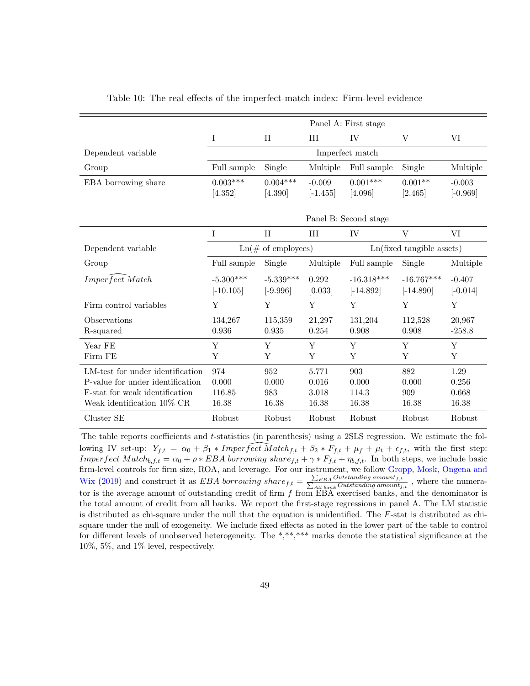<span id="page-48-0"></span>

|                                                                                                                                      | Panel A: First stage            |                                     |                                  |                                |                              |                                 |
|--------------------------------------------------------------------------------------------------------------------------------------|---------------------------------|-------------------------------------|----------------------------------|--------------------------------|------------------------------|---------------------------------|
|                                                                                                                                      | Ι                               | $\rm II$                            | III                              | IV                             | V                            | VI                              |
| Dependent variable                                                                                                                   |                                 |                                     |                                  | Imperfect match                |                              |                                 |
| Group                                                                                                                                | Full sample                     | Single                              | Multiple                         | Full sample                    | Single                       | Multiple                        |
| EBA borrowing share                                                                                                                  | $0.003***$<br>[4.352]           | $0.004***$<br>[4.390]               | $-0.009$<br>$[-1.455]$           | $0.001***$<br>[4.096]          | $0.001**$<br>[2.465]         | $-0.003$<br>$[-0.969]$          |
|                                                                                                                                      |                                 |                                     |                                  | Panel B: Second stage          |                              |                                 |
|                                                                                                                                      | I                               | $\rm II$                            | III                              | IV                             | V                            | VI                              |
| Dependent variable                                                                                                                   |                                 | $\text{Ln}(\text{\# of employees})$ |                                  |                                | Ln(fixed tangible assets)    |                                 |
| Group                                                                                                                                | Full sample                     | Single                              | Multiple                         | Full sample                    | Single                       | Multiple                        |
| Imperfect Match                                                                                                                      | $-5.300***$<br>$[-10.105]$      | $-5.339***$<br>$[-9.996]$           | 0.292<br>[0.033]                 | $-16.318***$<br>$[-14.892]$    | $-16.767***$<br>$[-14.890]$  | $-0.407$<br>$[-0.014]$          |
| Firm control variables                                                                                                               | Y                               | Y                                   | Y                                | Y                              | Y                            | Y                               |
| Observations<br>R-squared                                                                                                            | 134,267<br>0.936                | 115,359<br>0.935                    | 21,297<br>0.254                  | 131,204<br>0.908               | 112,528<br>0.908             | 20,967<br>$-258.8$              |
| Year FE<br>Firm FE                                                                                                                   | Y<br>Y                          | Y<br>Y                              | Y<br>Y                           | Y<br>Y                         | Y<br>Y                       | Y<br>Y                          |
| LM-test for under identification<br>P-value for under identification<br>F-stat for weak identification<br>Weak identification 10% CR | 974<br>0.000<br>116.85<br>16.38 | 952<br>0.000<br>983<br>16.38        | 5.771<br>0.016<br>3.018<br>16.38 | 903<br>0.000<br>114.3<br>16.38 | 882<br>0.000<br>909<br>16.38 | 1.29<br>0.256<br>0.668<br>16.38 |
| Cluster SE                                                                                                                           | Robust                          | Robust                              | Robust                           | Robust                         | Robust                       | Robust                          |

Table 10: The real effects of the imperfect-match index: Firm-level evidence

The table reports coefficients and t-statistics (in parenthesis) using a 2SLS regression. We estimate the following IV set-up:  $Y_{f,t} = \alpha_0 + \beta_1 * Imper \widehat{fect Match}_{f,t} + \beta_2 * F_{f,t} + \mu_f + \mu_t + \epsilon_{f,t}$ , with the first step: Imperfect  $Match_{b,f,t} = \alpha_0 + \rho * EBA$  borrowing share  $f, t + \gamma * F_{f,t} + \eta_{b,f,t}$ . In both steps, we include basic firm-level controls for firm size, ROA, and leverage. For our instrument, we follow [Gropp, Mosk, Ongena and](#page-33-2) [Wix](#page-33-2) [\(2019\)](#page-33-2) and construct it as *EBA borrowing share*  $f_{t} = \frac{\sum_{EBA}Outstanding amount_{f,t}}{\sum_{All bank}Outstanding amount_{f,t}}$ , where the numerator is the average amount of outstanding credit of firm  $f$  from  $\overline{EBA}$  exercised banks, and the denominator is the total amount of credit from all banks. We report the first-stage regressions in panel A. The LM statistic is distributed as chi-square under the null that the equation is unidentified. The F-stat is distributed as chisquare under the null of exogeneity. We include fixed effects as noted in the lower part of the table to control for different levels of unobserved heterogeneity. The \*,\*\*,\*\*\* marks denote the statistical significance at the 10%, 5%, and 1% level, respectively.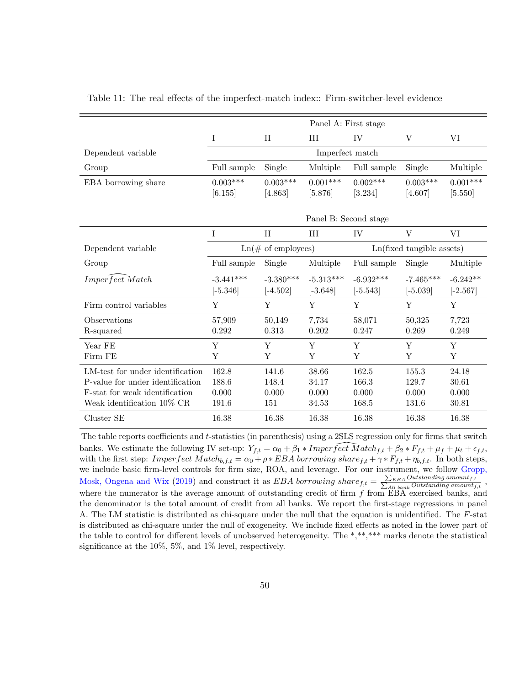<span id="page-49-0"></span>

|                                  | Panel A: First stage |                                     |                       |             |                                    |            |
|----------------------------------|----------------------|-------------------------------------|-----------------------|-------------|------------------------------------|------------|
|                                  |                      |                                     |                       |             |                                    |            |
|                                  | T                    | $\mathbf{I}$                        | Ш                     | IV          | V                                  | VI         |
| Dependent variable               |                      |                                     | Imperfect match       |             |                                    |            |
| Group                            | Full sample          | Single                              | Multiple              | Full sample | Single                             | Multiple   |
| EBA borrowing share              | $0.003***$           | $0.003***$                          | $0.001***$            | $0.002***$  | $0.003***$                         | $0.001***$ |
|                                  | [6.155]              | [4.863]                             | [5.876]               | [3.234]     | [4.607]                            | [5.550]    |
|                                  |                      |                                     |                       |             |                                    |            |
|                                  |                      |                                     | Panel B: Second stage |             |                                    |            |
|                                  | T                    | $\rm II$                            | <b>III</b>            | IV          | $\rm V$                            | VI         |
| Dependent variable               |                      | $\text{Ln}(\text{\# of employees})$ |                       |             | $Ln(fixed \ttangle \text{assets})$ |            |
| Group                            | Full sample          | Single                              | Multiple              | Full sample | Single                             | Multiple   |
| Imperfect Match                  | $-3.441***$          | $-3.380***$                         | $-5.313***$           | $-6.932***$ | $-7.465***$                        | $-6.242**$ |
|                                  | $[-5.346]$           | $[-4.502]$                          | $[-3.648]$            | $[-5.543]$  | $[-5.039]$                         | $[-2.567]$ |
| Firm control variables           | Y                    | Y                                   | Y                     | Y           | Y                                  | Y          |
| Observations                     | 57,909               | 50,149                              | 7,734                 | 58,071      | 50,325                             | 7,723      |
| R-squared                        | 0.292                | 0.313                               | 0.202                 | 0.247       | 0.269                              | 0.249      |
| Year FE                          | Y                    | Y                                   | Y                     | Y           | Y                                  | Y          |
| Firm FE                          | Y                    | Y                                   | Y                     | Y           | Y                                  | Y          |
| LM-test for under identification | 162.8                | 141.6                               | 38.66                 | 162.5       | 155.3                              | 24.18      |
| P-value for under identification | 188.6                | 148.4                               | 34.17                 | 166.3       | 129.7                              | 30.61      |
| F-stat for weak identification   | 0.000                | 0.000                               | 0.000                 | 0.000       | 0.000                              | 0.000      |
| Weak identification 10% CR       | 191.6                | 151                                 | 34.53                 | 168.5       | 131.6                              | 30.81      |
| Cluster SE                       | 16.38                | 16.38                               | 16.38                 | 16.38       | 16.38                              | 16.38      |

Table 11: The real effects of the imperfect-match index:: Firm-switcher-level evidence

The table reports coefficients and  $t$ -statistics (in parenthesis) using a 2SLS regression only for firms that switch banks. We estimate the following IV set-up:  $Y_{f,t} = \alpha_0 + \beta_1 * Imper \ \bar{f}ect \ \bar{M} at ch_{f,t} + \beta_2 * F_{f,t} + \mu_f + \mu_t + \epsilon_{f,t}$ with the first step:  $Imperfect Match_{b,f,t} = \alpha_0 + \rho * EBA$  borrowing share  $f, t + \gamma * F_{f,t} + \eta_{b,f,t}$ . In both steps, we include basic firm-level controls for firm size, ROA, and leverage. For our instrument, we follow [Gropp,](#page-33-2) [Mosk, Ongena and Wix](#page-33-2) [\(2019\)](#page-33-2) and construct it as  $EBA$  borrowing share  $f_{,t} = \frac{\sum_{EBA}Outstanding amount_{f,t}}{\sum_{All bank}Outstanding amount_{f,t}}$ , where the numerator is the average amount of outstanding credit of firm  $f$  from  $\overline{EBA}$  exercised banks, and the denominator is the total amount of credit from all banks. We report the first-stage regressions in panel A. The LM statistic is distributed as chi-square under the null that the equation is unidentified. The F-stat is distributed as chi-square under the null of exogeneity. We include fixed effects as noted in the lower part of the table to control for different levels of unobserved heterogeneity. The \*,\*\*,\*\*\* marks denote the statistical significance at the 10%, 5%, and 1% level, respectively.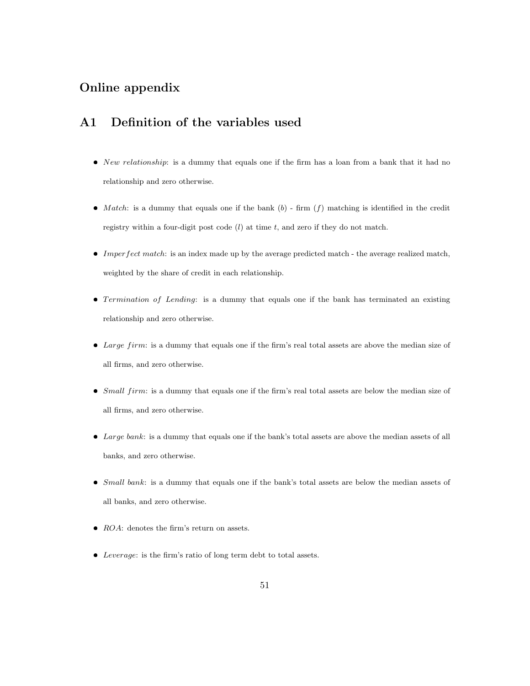# Online appendix

## A1 Definition of the variables used

- $\bullet$  *New relationship*: is a dummy that equals one if the firm has a loan from a bank that it had no relationship and zero otherwise.
- $\bullet$  *Match*: is a dummy that equals one if the bank (b) firm (f) matching is identified in the credit registry within a four-digit post code  $(l)$  at time  $t$ , and zero if they do not match.
- Imperfect match: is an index made up by the average predicted match the average realized match, weighted by the share of credit in each relationship.
- $\bullet$  Termination of Lending: is a dummy that equals one if the bank has terminated an existing relationship and zero otherwise.
- Large firm: is a dummy that equals one if the firm's real total assets are above the median size of all firms, and zero otherwise.
- $\bullet$  *Small firm*: is a dummy that equals one if the firm's real total assets are below the median size of all firms, and zero otherwise.
- $\bullet$  *Large bank*: is a dummy that equals one if the bank's total assets are above the median assets of all banks, and zero otherwise.
- Small bank: is a dummy that equals one if the bank's total assets are below the median assets of all banks, and zero otherwise.
- $ROA:$  denotes the firm's return on assets.
- Leverage: is the firm's ratio of long term debt to total assets.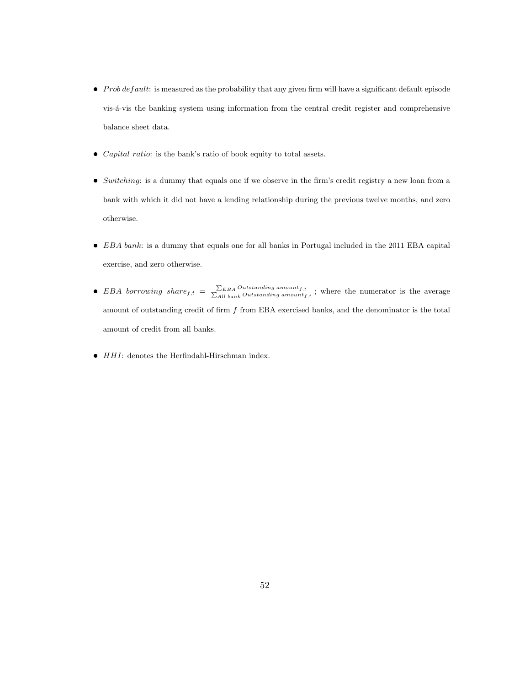- $\bullet$  Prob default: is measured as the probability that any given firm will have a significant default episode vis-á-vis the banking system using information from the central credit register and comprehensive balance sheet data.
- $\bullet$  *Capital ratio*: is the bank's ratio of book equity to total assets.
- $\bullet$  Switching: is a dummy that equals one if we observe in the firm's credit registry a new loan from a bank with which it did not have a lending relationship during the previous twelve months, and zero otherwise.
- EBA bank: is a dummy that equals one for all banks in Portugal included in the 2011 EBA capital exercise, and zero otherwise.
- EBA borrowing share  $f,t = \frac{\sum_{EBA}Outstanding_{amoun}t_{f,t}}{\sum_{All_{bank}Outstanding_{amoun}t_{f,t}}};$  where the numerator is the average amount of outstanding credit of firm  $f$  from EBA exercised banks, and the denominator is the total amount of credit from all banks.
- $\bullet$   $\;HH1:$  denotes the Herfindahl-Hirschman index.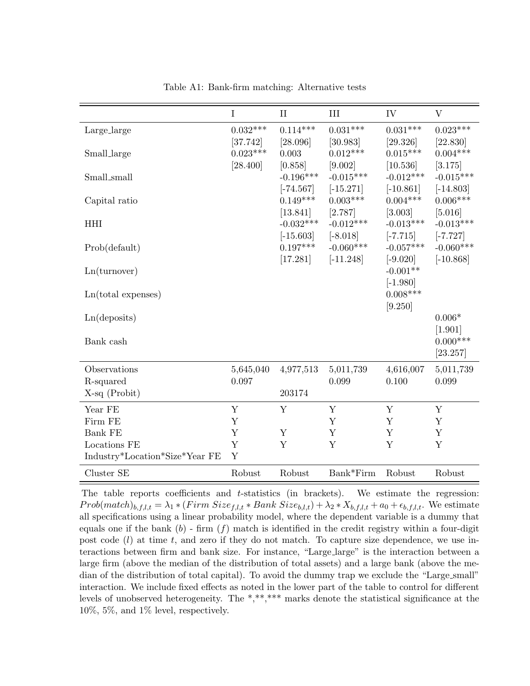<span id="page-52-0"></span>

|                                | I          | $\mathbf{I}$                          | III                                   | IV                                     | $\rm V$                               |
|--------------------------------|------------|---------------------------------------|---------------------------------------|----------------------------------------|---------------------------------------|
| Large_large                    | $0.032***$ | $0.114***$                            | $0.031***$                            | $0.031***$                             | $0.023***$                            |
|                                | [37.742]   | [28.096]                              | [30.983]                              | [29.326]                               | [22.830]                              |
| <b>Small_large</b>             | $0.023***$ | 0.003                                 | $0.012***$                            | $0.015***$                             | $0.004***$                            |
| Small_small                    | [28.400]   | [0.858]<br>$-0.196***$<br>$[-74.567]$ | [9.002]<br>$-0.015***$<br>$[-15.271]$ | [10.536]<br>$-0.012***$<br>$[-10.861]$ | [3.175]<br>$-0.015***$<br>$[-14.803]$ |
| Capital ratio                  |            | $0.149***$                            | $0.003***$                            | $0.004***$                             | $0.006***$                            |
|                                |            | [13.841]                              | [2.787]                               | [3.003]                                | [5.016]                               |
| <b>HHI</b>                     |            | $-0.032***$                           | $-0.012***$                           | $-0.013***$                            | $-0.013***$                           |
|                                |            | $[-15.603]$                           | $[-8.018]$                            | $[-7.715]$                             | $[-7.727]$                            |
| Prob(default)                  |            | $0.197***$                            | $-0.060***$                           | $-0.057***$                            | $-0.060***$                           |
| Ln(turnover)                   |            | [17.281]                              | $[-11.248]$                           | $[-9.020]$<br>$-0.001**$<br>$[-1.980]$ | $[-10.868]$                           |
| $Ln(total$ expenses)           |            |                                       |                                       | $0.008***$<br>[9.250]                  |                                       |
| Ln(deposits)                   |            |                                       |                                       |                                        | $0.006*$                              |
| Bank cash                      |            |                                       |                                       |                                        | [1.901]<br>$0.000***$<br>[23.257]     |
| Observations                   | 5,645,040  | 4,977,513                             | 5,011,739                             | 4,616,007                              | 5,011,739                             |
| R-squared                      | 0.097      |                                       | 0.099                                 | 0.100                                  | 0.099                                 |
| $X-sq$ (Probit)                |            | 203174                                |                                       |                                        |                                       |
| Year FE                        | Y          | Y                                     | Y                                     | Y                                      | Y                                     |
| Firm FE                        | Y          |                                       | Y                                     | Y                                      | Y                                     |
| Bank FE                        | Y          | Y                                     | Y                                     | Y                                      | $\mathbf Y$                           |
| Locations FE                   | Y          | $\mathbf Y$                           | Y                                     | Y                                      | $\mathbf Y$                           |
| Industry*Location*Size*Year FE | Y          |                                       |                                       |                                        |                                       |
| Cluster SE                     | Robust     | Robust                                | Bank*Firm                             | Robust                                 | Robust                                |

Table A1: Bank-firm matching: Alternative tests

The table reports coefficients and t-statistics (in brackets). We estimate the regression:  $Prob(match)_{b,f,l,t} = \lambda_1 * (Firm Size_{f,l,t} * Bank Size_{b,l,t}) + \lambda_2 * X_{b,f,l,t} + a_0 + \epsilon_{b,f,l,t}.$  We estimate all specifications using a linear probability model, where the dependent variable is a dummy that equals one if the bank  $(b)$  - firm  $(f)$  match is identified in the credit registry within a four-digit post code  $(l)$  at time t, and zero if they do not match. To capture size dependence, we use interactions between firm and bank size. For instance, "Large large" is the interaction between a large firm (above the median of the distribution of total assets) and a large bank (above the median of the distribution of total capital). To avoid the dummy trap we exclude the "Large\_small" interaction. We include fixed effects as noted in the lower part of the table to control for different levels of unobserved heterogeneity. The \*,\*\*,\*\*\* marks denote the statistical significance at the 10%, 5%, and 1% level, respectively.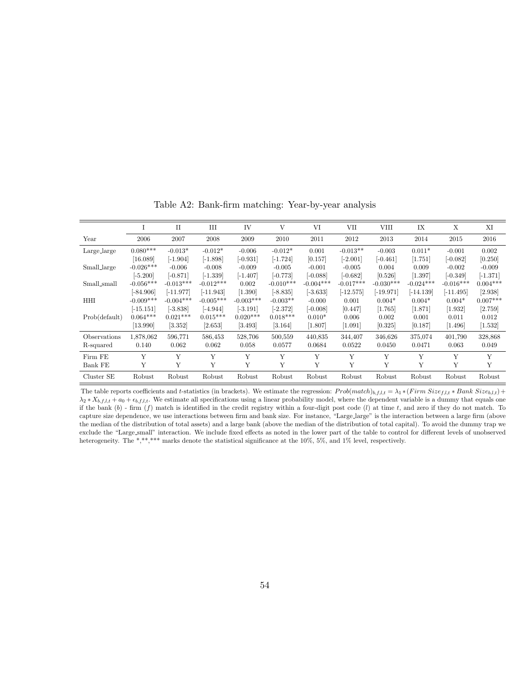<span id="page-53-0"></span>

|               |             | $\rm II$    | $\mathop{\rm III}$ | IV          | V           | VI          | <b>VII</b>  | VIII        | IX          | Χ           | XI         |
|---------------|-------------|-------------|--------------------|-------------|-------------|-------------|-------------|-------------|-------------|-------------|------------|
| Year          | 2006        | 2007        | 2008               | 2009        | 2010        | 2011        | 2012        | 2013        | 2014        | 2015        | 2016       |
| Large_large   | $0.080***$  | $-0.013*$   | $-0.012*$          | $-0.006$    | $-0.012*$   | 0.001       | $-0.013**$  | $-0.003$    | $0.011*$    | $-0.001$    | 0.002      |
|               | [16.089]    | $-1.904$    | $[-1.898]$         | $[-0.931]$  | $[-1.724]$  | [0.157]     | $[-2.001]$  | $[-0.461]$  | [1.751]     | $[-0.082]$  | [0.250]    |
| Small_large   | $-0.026***$ | $-0.006$    | $-0.008$           | $-0.009$    | $-0.005$    | $-0.001$    | $-0.005$    | 0.004       | 0.009       | $-0.002$    | $-0.009$   |
|               | $[-5.200]$  | $[-0.871]$  | $[-1.339]$         | $[-1.407]$  | $[-0.773]$  | $[-0.088]$  | $[-0.682]$  | [0.526]     | [1.397]     | $[-0.349]$  | $[-1.371]$ |
| Small_small   | $-0.056***$ | $-0.013***$ | $-0.012***$        | 0.002       | $-0.010***$ | $-0.004***$ | $-0.017***$ | $-0.030***$ | $-0.024***$ | $-0.016***$ | $0.004***$ |
|               | $[-84.906]$ | $[-11.977]$ | $[-11.943]$        | [1.390]     | $[-8.835]$  | $[-3.633]$  | $[-12.575]$ | $[-19.971]$ | $[-14.139]$ | $[-11.495]$ | [2.938]    |
| <b>HHI</b>    | $-0.009***$ | $-0.004***$ | $-0.005***$        | $-0.003***$ | $-0.003**$  | $-0.000$    | 0.001       | $0.004*$    | $0.004*$    | $0.004*$    | $0.007***$ |
|               | $[-15.151]$ | $[-3.838]$  | $[-4.944]$         | $[-3.191]$  | $[-2.372]$  | $[-0.008]$  | [0.447]     | [1.765]     | [1.871]     | [1.932]     | [2.759]    |
| Prob(default) | $0.064***$  | $0.021***$  | $0.015***$         | $0.020***$  | $0.018***$  | $0.010*$    | 0.006       | 0.002       | 0.001       | 0.011       | 0.012      |
|               | [13.990]    | [3.352]     | [2.653]            | [3.493]     | [3.164]     | [1.807]     | [1.091]     | [0.325]     | [0.187]     | $[1.496]$   | [1.532]    |
| Observations  | 1,878,062   | 596,771     | 586,453            | 528,706     | 500,559     | 440,835     | 344,407     | 346.626     | 375,074     | 401,790     | 328,868    |
| R-squared     | 0.140       | 0.062       | 0.062              | 0.058       | 0.0577      | 0.0684      | 0.0522      | 0.0450      | 0.0471      | 0.063       | 0.049      |
| Firm FE       | Y           | Y           | Y                  | Y           | Y           | Y           | Y           | Y           | Y           | Y           | Y          |
| Bank FE       | Υ           | Υ           | Υ                  | Υ           | Υ           | Υ           | Y           | Υ           | Υ           | Υ           | Υ          |
| Cluster SE    | Robust      | Robust      | Robust             | Robust      | Robust      | Robust      | Robust      | Robust      | Robust      | Robust      | Robust     |

Table A2: Bank-firm matching: Year-by-year analysis

The table reports coefficients and t-statistics (in brackets). We estimate the regression:  $Prob(match)_{b,f,l,t} = \lambda_1 * (Firm Size_{f,l,t} * Bank Size_{b,l,t}) +$  $\lambda_2 * X_{b,f,l,t} + a_0 + \epsilon_{b,f,l,t}$ . We estimate all specifications using a linear probability model, where the dependent variable is a dummy that equals one if the bank  $(b)$  - firm  $(f)$  match is identified in the credit registry within a four-digit post code  $(l)$  at time t, and zero if they do not match. To capture size dependence, we use interactions between firm and bank size. For instance, "Large large" is the interaction between a large firm (above the median of the distribution of total assets) and a large bank (above the median of the distribution of total capital). To avoid the dummy trap we exclude the "Large small" interaction. We include fixed effects as noted in the lower part of the table to control for different levels of unobserved heterogeneity. The \*,\*\*,\*\*\* marks denote the statistical significance at the 10%, 5%, and 1% level, respectively.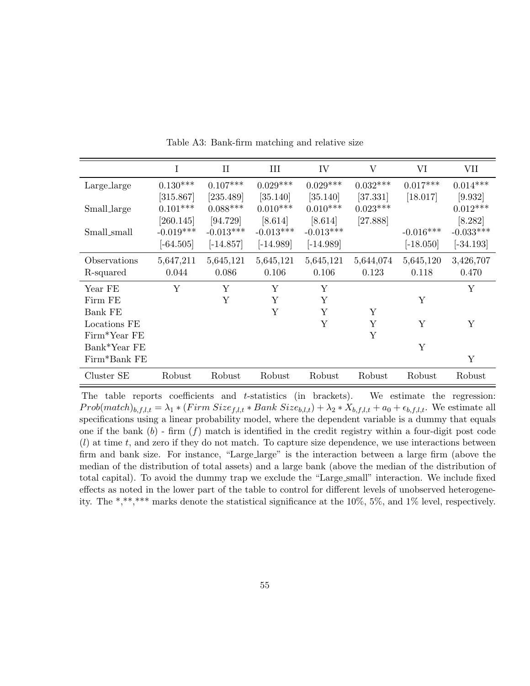<span id="page-54-0"></span>

|                | I           | $\rm II$    | III         | IV          | $\rm V$    | VI          | VII         |
|----------------|-------------|-------------|-------------|-------------|------------|-------------|-------------|
| Large_large    | $0.130***$  | $0.107***$  | $0.029***$  | $0.029***$  | $0.032***$ | $0.017***$  | $0.014***$  |
|                | [315.867]   | [235.489]   | [35.140]    | [35.140]    | [37.331]   | [18.017]    | [9.932]     |
| Small_large    | $0.101***$  | $0.088***$  | $0.010***$  | $0.010***$  | $0.023***$ |             | $0.012***$  |
|                | [260.145]   | [94.729]    | [8.614]     | [8.614]     | [27.888]   |             | [8.282]     |
| Small_small    | $-0.019***$ | $-0.013***$ | $-0.013***$ | $-0.013***$ |            | $-0.016***$ | $-0.033***$ |
|                | $[-64.505]$ | $[-14.857]$ | $[-14.989]$ | $[-14.989]$ |            | $[-18.050]$ | $[-34.193]$ |
| Observations   | 5,647,211   | 5,645,121   | 5,645,121   | 5,645,121   | 5,644,074  | 5,645,120   | 3,426,707   |
| R-squared      | 0.044       | 0.086       | 0.106       | 0.106       | 0.123      | 0.118       | 0.470       |
| Year FE        | Υ           | Υ           | Y           | Υ           |            |             | Υ           |
| Firm FE        |             | Y           | Y           | Y           |            | Y           |             |
| <b>Bank FE</b> |             |             | Y           | Υ           | Y          |             |             |
| Locations FE   |             |             |             | Y           | Y          | Y           | Y           |
| Firm*Year FE   |             |             |             |             | Y          |             |             |
| Bank*Year FE   |             |             |             |             |            | Y           |             |
| Firm*Bank FE   |             |             |             |             |            |             | Y           |
| Cluster SE     | Robust      | Robust      | Robust      | Robust      | Robust     | Robust      | Robust      |

Table A3: Bank-firm matching and relative size

The table reports coefficients and *t*-statistics (in brackets). We estimate the regression: Prob(match)<sub>b,f,l,t</sub> =  $\lambda_1 * (Firm Size_{f,l,t} * Bank Size_{b,l,t}) + \lambda_2 * X_{b,f,l,t} + a_0 + \epsilon_{b,f,l,t}$ . We estimate all specifications using a linear probability model, where the dependent variable is a dummy that equals one if the bank  $(b)$  - firm  $(f)$  match is identified in the credit registry within a four-digit post code  $(l)$  at time t, and zero if they do not match. To capture size dependence, we use interactions between firm and bank size. For instance, "Large large" is the interaction between a large firm (above the median of the distribution of total assets) and a large bank (above the median of the distribution of total capital). To avoid the dummy trap we exclude the "Large small" interaction. We include fixed effects as noted in the lower part of the table to control for different levels of unobserved heterogeneity. The \*,\*\*,\*\*\* marks denote the statistical significance at the 10%, 5%, and 1% level, respectively.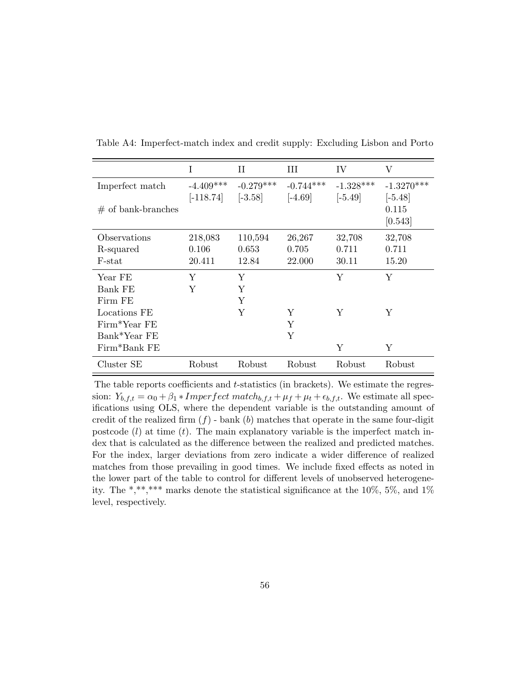<span id="page-55-0"></span>

|                      | Ι           | H           | HН          | IV          | V            |
|----------------------|-------------|-------------|-------------|-------------|--------------|
| Imperfect match      | $-4.409***$ | $-0.279***$ | $-0.744***$ | $-1.328***$ | $-1.3270***$ |
|                      | $[-118.74]$ | $[-3.58]$   | $[-4.69]$   | $[-5.49]$   | $[-5.48]$    |
| $#$ of bank-branches |             |             |             |             | 0.115        |
|                      |             |             |             |             | [0.543]      |
| Observations         | 218,083     | 110,594     | 26,267      | 32,708      | 32,708       |
| R-squared            | 0.106       | 0.653       | 0.705       | 0.711       | 0.711        |
| F-stat               | 20.411      | 12.84       | 22.000      | 30.11       | 15.20        |
| Year FE              | Y           | Υ           |             | Y           | Y            |
| Bank FE              | Y           | Υ           |             |             |              |
| Firm FE              |             | Υ           |             |             |              |
| Locations FE         |             | Y           | Y           | Y           | Y            |
| Firm*Year FE         |             |             | Y           |             |              |
| Bank*Year FE         |             |             | Υ           |             |              |
| Firm*Bank FE         |             |             |             | Υ           | Υ            |
| Cluster SE           | Robust      | Robust      | Robust      | Robust      | Robust       |

Table A4: Imperfect-match index and credit supply: Excluding Lisbon and Porto

The table reports coefficients and *t*-statistics (in brackets). We estimate the regression:  $Y_{b,f,t} = \alpha_0 + \beta_1 * Imperfectmatch_{b,f,t} + \mu_f + \mu_t + \epsilon_{b,f,t}.$  We estimate all specifications using OLS, where the dependent variable is the outstanding amount of credit of the realized firm  $(f)$  - bank  $(b)$  matches that operate in the same four-digit postcode  $(l)$  at time  $(t)$ . The main explanatory variable is the imperfect match index that is calculated as the difference between the realized and predicted matches. For the index, larger deviations from zero indicate a wider difference of realized matches from those prevailing in good times. We include fixed effects as noted in the lower part of the table to control for different levels of unobserved heterogeneity. The \*,\*\*,\*\*\* marks denote the statistical significance at the  $10\%$ , 5%, and  $1\%$ level, respectively.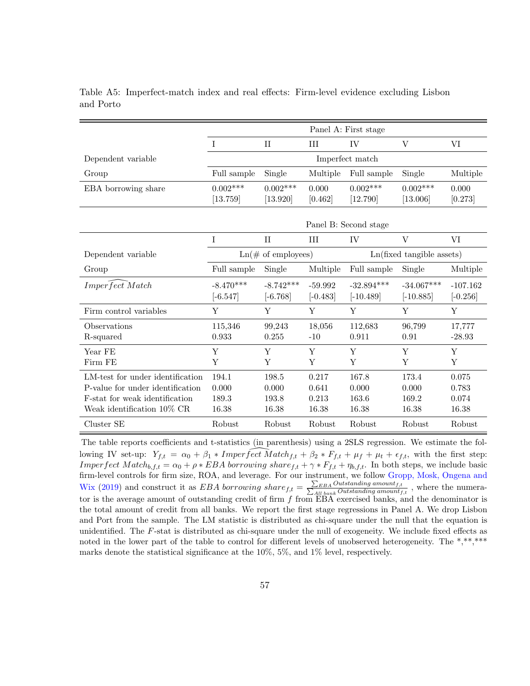<span id="page-56-0"></span>

|                                                                                                                                      |                                     |                                  |                                  | Panel A: First stage             |                                  |                                  |  |  |
|--------------------------------------------------------------------------------------------------------------------------------------|-------------------------------------|----------------------------------|----------------------------------|----------------------------------|----------------------------------|----------------------------------|--|--|
|                                                                                                                                      | $\mathbf{I}$                        | $_{\rm II}$                      | Ш                                | IV                               | V                                | VI                               |  |  |
| Dependent variable                                                                                                                   | Imperfect match                     |                                  |                                  |                                  |                                  |                                  |  |  |
| Group                                                                                                                                | Full sample                         | Single                           | Multiple                         | Full sample                      | Single                           | Multiple                         |  |  |
| EBA borrowing share                                                                                                                  | $0.002***$<br>[13.759]              | $0.002***$<br>[13.920]           | 0.000<br>[0.462]                 | $0.002***$<br>[12.790]           | $0.002***$<br>[13.006]           | 0.000<br>[0.273]                 |  |  |
|                                                                                                                                      |                                     |                                  |                                  | Panel B: Second stage            |                                  |                                  |  |  |
|                                                                                                                                      | T                                   | $\mathbf{H}$                     | III                              | IV                               | V                                | VI                               |  |  |
| Dependent variable                                                                                                                   | $\text{Ln}(\text{\# of employees})$ |                                  |                                  | Ln(fixed tangible assets)        |                                  |                                  |  |  |
| Group                                                                                                                                | Full sample                         | Single                           | Multiple                         | Full sample                      | Single                           | Multiple                         |  |  |
| Imperfect Match                                                                                                                      | $-8.470***$<br>$[-6.547]$           | $-8.742***$<br>$[-6.768]$        | $-59.992$<br>$[-0.483]$          | $-32.894***$<br>$[-10.489]$      | $-34.067***$<br>$[-10.885]$      | $-107.162$<br>$[-0.256]$         |  |  |
| Firm control variables                                                                                                               | Y                                   | Y                                | Y                                | Y                                | Y                                | Y                                |  |  |
| Observations<br>R-squared                                                                                                            | 115,346<br>0.933                    | 99,243<br>0.255                  | 18,056<br>$-10$                  | 112,683<br>0.911                 | 96,799<br>0.91                   | 17,777<br>$-28.93$               |  |  |
| Year FE<br>Firm FE                                                                                                                   | Y<br>Y                              | Y<br>Y                           | Y<br>Y                           | Y<br>Y                           | Y<br>Y                           | Y<br>Y                           |  |  |
| LM-test for under identification<br>P-value for under identification<br>F-stat for weak identification<br>Weak identification 10% CR | 194.1<br>0.000<br>189.3<br>16.38    | 198.5<br>0.000<br>193.8<br>16.38 | 0.217<br>0.641<br>0.213<br>16.38 | 167.8<br>0.000<br>163.6<br>16.38 | 173.4<br>0.000<br>169.2<br>16.38 | 0.075<br>0.783<br>0.074<br>16.38 |  |  |
| Cluster SE                                                                                                                           | Robust                              | Robust                           | Robust                           | Robust                           | Robust                           | Robust                           |  |  |

Table A5: Imperfect-match index and real effects: Firm-level evidence excluding Lisbon and Porto

The table reports coefficients and t-statistics (in parenthesis) using a 2SLS regression. We estimate the following IV set-up:  $Y_{f,t} = \alpha_0 + \beta_1 * Imper \overbrace{fect} \overbrace{Match_{f,t} + \beta_2 * F_{f,t} + \mu_f + \mu_t + \epsilon_{f,t}}$ , with the first step: Imperfect  $Match_{b,f,t} = \alpha_0 + \rho * EBA$  borrowing share  $f,t + \gamma * F_{f,t} + \eta_{b,f,t}$ . In both steps, we include basic firm-level controls for firm size, ROA, and leverage. For our instrument, we follow [Gropp, Mosk, Ongena and](#page-33-2) [Wix](#page-33-2) [\(2019\)](#page-33-2) and construct it as *EBA borrowing share*  $f_{t} = \frac{\sum_{EBA}Outstanding amount_{f,t}}{\sum_{All bank}Outstanding amount_{f,t}}$ , where the numerator is the average amount of outstanding credit of firm  $f$  from  $\overline{EBA}$  exercised banks, and the denominator is the total amount of credit from all banks. We report the first stage regressions in Panel A. We drop Lisbon and Port from the sample. The LM statistic is distributed as chi-square under the null that the equation is unidentified. The F-stat is distributed as chi-square under the null of exogeneity. We include fixed effects as noted in the lower part of the table to control for different levels of unobserved heterogeneity. The \*,\*\*,\*\*\* marks denote the statistical significance at the 10%, 5%, and 1% level, respectively.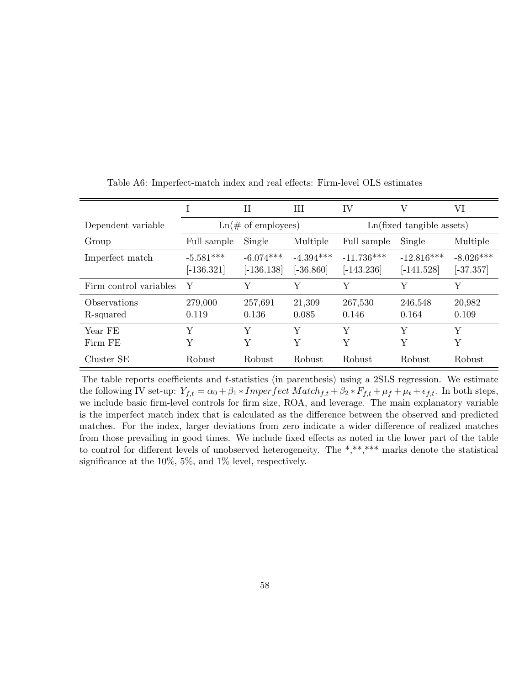<span id="page-57-0"></span>

|                           |                                     | H                           | H                          | IV                            | V                            | VI                         |  |
|---------------------------|-------------------------------------|-----------------------------|----------------------------|-------------------------------|------------------------------|----------------------------|--|
| Dependent variable        | $\text{Ln}(\text{\# of employees})$ |                             |                            | $Ln(fixed \t{tangle}$ assets) |                              |                            |  |
| Group                     | Full sample                         | Single                      | Multiple                   | Full sample                   | Single                       | Multiple                   |  |
| Imperfect match           | $-5.581***$<br>$[-136.321]$         | $-6.074***$<br>$[-136.138]$ | $-4.394***$<br>$[-36.860]$ | $-11.736***$<br>$[-143.236]$  | $-12.816***$<br>$[-141.528]$ | $-8.026***$<br>$[-37.357]$ |  |
| Firm control variables    | Y                                   | Υ                           | Y                          | Y                             | Υ                            | Y                          |  |
| Observations<br>R-squared | 279,000<br>0.119                    | 257,691<br>0.136            | 21,309<br>0.085            | 267,530<br>0.146              | 246,548<br>0.164             | 20,982<br>0.109            |  |
| Year FE<br>Firm FE        | Y<br>Y                              | Y<br>Υ                      | Y<br>Y                     | Y<br>Y                        | Y<br>Υ                       | Y<br>Y                     |  |
| Cluster SE                | Robust                              | Robust                      | Robust                     | Robust                        | Robust                       | <b>Robust</b>              |  |

Table A6: Imperfect-match index and real effects: Firm-level OLS estimates

The table reports coefficients and  $t$ -statistics (in parenthesis) using a  $2SLS$  regression. We estimate the following IV set-up:  $Y_{f,t} = \alpha_0 + \beta_1 * Imperfect$  Match<sub>f,t</sub> +  $\beta_2 * F_{f,t} + \mu_f + \mu_t + \epsilon_{f,t}$ . In both steps,we include basic firm-level controls for firm size, ROA, and leverage. The main explanatory variable is the imperfect match index that is calculated as the difference between the observed and predicted matches. For the index, larger deviations from zero indicate a wider difference of realized matches from those prevailing in good times. We include fixed effects as noted in the lower part of the table to control for different levels of unobserved heterogeneity. The \*,\*\*,\*\*\* marks denote the statistical significance at the 10%, 5%, and 1% level, respectively.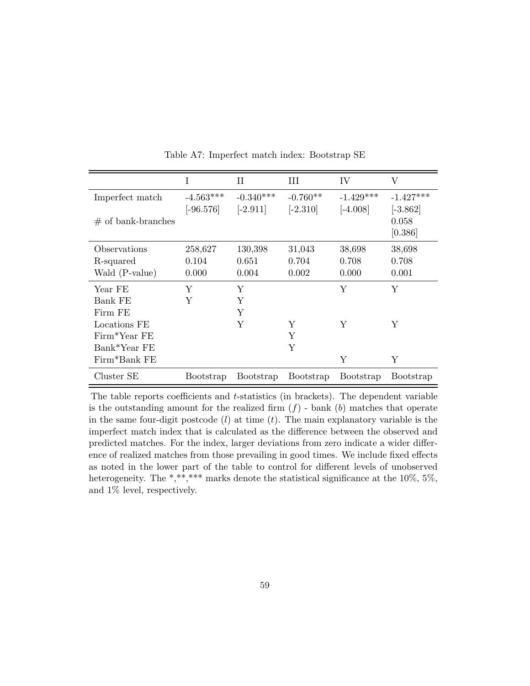<span id="page-58-0"></span>

|                      | $\bf{I}$    | П           | Ш          | IV          | V           |
|----------------------|-------------|-------------|------------|-------------|-------------|
| Imperfect match      | $-4.563***$ | $-0.340***$ | $-0.760**$ | $-1.429***$ | $-1.427***$ |
|                      | $[-96.576]$ | $[-2.911]$  | $[-2.310]$ | $[-4.008]$  | $[-3.862]$  |
| $#$ of bank-branches |             |             |            |             | 0.058       |
|                      |             |             |            |             | [0.386]     |
| Observations         | 258,627     | 130,398     | 31,043     | 38,698      | 38,698      |
| R-squared            | 0.104       | 0.651       | 0.704      | 0.708       | 0.708       |
| Wald (P-value)       | 0.000       | 0.004       | 0.002      | 0.000       | 0.001       |
| Year FE              | Υ           | Y           |            | Υ           | Y           |
| Bank FE              | Υ           | Y           |            |             |             |
| Firm FE              |             | Υ           |            |             |             |
| Locations FE         |             | Y           | Υ          | Υ           | Υ           |
| Firm*Year FE         |             |             | Y          |             |             |
| Bank*Year FE         |             |             | Y          |             |             |
| Firm*Bank FE         |             |             |            | Υ           | Υ           |
| Cluster SE           | Bootstrap   | Bootstrap   | Bootstrap  | Bootstrap   | Bootstrap   |

Table A7: Imperfect match index: Bootstrap SE

The table reports coefficients and t-statistics (in brackets). The dependent variable is the outstanding amount for the realized firm  $(f)$  - bank  $(b)$  matches that operate in the same four-digit postcode  $(l)$  at time  $(t)$ . The main explanatory variable is the imperfect match index that is calculated as the difference between the observed and predicted matches. For the index, larger deviations from zero indicate a wider difference of realized matches from those prevailing in good times. We include fixed effects as noted in the lower part of the table to control for different levels of unobserved heterogeneity. The \*,\*\*,\*\*\* marks denote the statistical significance at the 10%, 5%, and 1% level, respectively.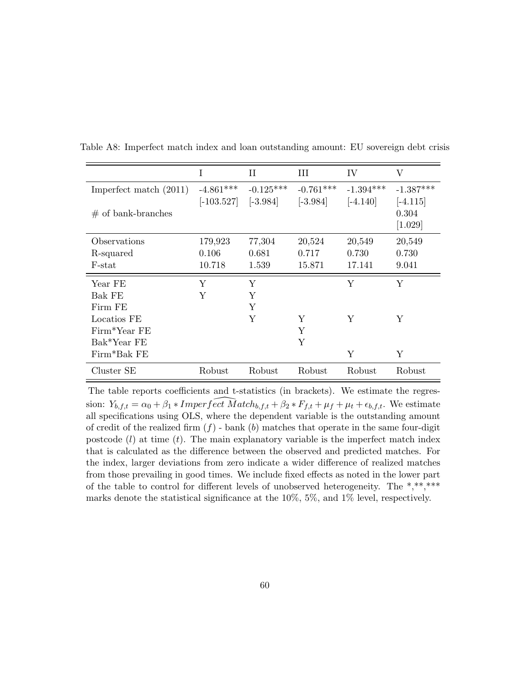<span id="page-59-0"></span>

|                          | Ι            | Н           | Ш           | IV          | V           |
|--------------------------|--------------|-------------|-------------|-------------|-------------|
| Imperfect match $(2011)$ | $-4.861***$  | $-0.125***$ | $-0.761***$ | $-1.394***$ | $-1.387***$ |
|                          | $[-103.527]$ | $[-3.984]$  | $[-3.984]$  | $[-4.140]$  | $[-4.115]$  |
| $#$ of bank-branches     |              |             |             |             | 0.304       |
|                          |              |             |             |             | [1.029]     |
| Observations             | 179,923      | 77,304      | 20,524      | 20,549      | 20,549      |
| R-squared                | 0.106        | 0.681       | 0.717       | 0.730       | 0.730       |
| F-stat                   | 10.718       | 1.539       | 15.871      | 17.141      | 9.041       |
| Year FE                  | Y            | Y           |             | Y           | Υ           |
| Bak FE                   | Y            | Y           |             |             |             |
| Firm FE                  |              | Y           |             |             |             |
| Locatios FE              |              | Y           | Y           | Y           | Y           |
| Firm*Year FE             |              |             | Y           |             |             |
| Bak*Year FE              |              |             | Y           |             |             |
| Firm*Bak FE              |              |             |             | Y           | Υ           |
| Cluster SE               | Robust       | Robust      | Robust      | Robust      | Robust      |

Table A8: Imperfect match index and loan outstanding amount: EU sovereign debt crisis

The table reports coefficients and t-statistics (in brackets). We estimate the regression:  $Y_{b,f,t} = \alpha_0 + \beta_1 * Imperfect$  *Match*<sub>b,f,t</sub> +  $\beta_2 * F_{f,t} + \mu_f + \mu_t + \epsilon_{b,f,t}$ . We estimateall specifications using OLS, where the dependent variable is the outstanding amount of credit of the realized firm  $(f)$  - bank  $(b)$  matches that operate in the same four-digit postcode  $(l)$  at time  $(t)$ . The main explanatory variable is the imperfect match index that is calculated as the difference between the observed and predicted matches. For the index, larger deviations from zero indicate a wider difference of realized matches from those prevailing in good times. We include fixed effects as noted in the lower part of the table to control for different levels of unobserved heterogeneity. The \*,\*\*\*\*\*\* marks denote the statistical significance at the 10%, 5%, and 1% level, respectively.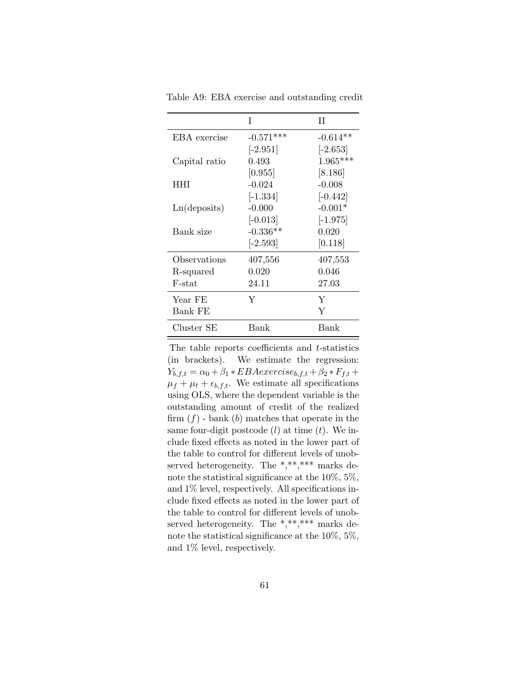|               | T           | Н          |
|---------------|-------------|------------|
| EBA exercise  | $-0.571***$ | $-0.614**$ |
|               | $[-2.951]$  | $[-2.653]$ |
| Capital ratio | 0.493       | $1.965***$ |
|               | [0.955]     | [8.186]    |
| HHI           | $-0.024$    | $-0.008$   |
|               | $[-1.334]$  | $[-0.442]$ |
| Ln(deposits)  | $-0.000$    | $-0.001*$  |
|               | $[-0.013]$  | $[-1.975]$ |
| Bank size     | $-0.336**$  | 0.020      |
|               | $[-2.593]$  | [0.118]    |
| Observations  | 407,556     | 407,553    |
| R-squared     | 0.020       | 0.046      |
| F-stat        | 24.11       | 27.03      |
| Year FE       | Y           | Y          |
| Bank FE       |             | Y          |
| Cluster SE    | Bank        | Bank       |

<span id="page-60-0"></span>Table A9: EBA exercise and outstanding credit

The table reports coefficients and  $t$ -statistics (in brackets). We estimate the regression:  $Y_{b,f,t} = \alpha_0 + \beta_1 * EBA exercise_{b,f,t} + \beta_2 * F_{f,t} +$  $\mu_f + \mu_t + \epsilon_{b,f,t}$ . We estimate all specifications using OLS, where the dependent variable is the outstanding amount of credit of the realized firm  $(f)$  - bank  $(b)$  matches that operate in the same four-digit postcode  $(l)$  at time  $(t)$ . We include fixed effects as noted in the lower part of the table to control for different levels of unobserved heterogeneity. The \*,\*\*,\*\*\* marks denote the statistical significance at the 10%, 5%, and 1% level, respectively. All specifications include fixed effects as noted in the lower part of the table to control for different levels of unobserved heterogeneity. The \*,\*\*,\*\*\* marks denote the statistical significance at the 10%, 5%, and 1% level, respectively.